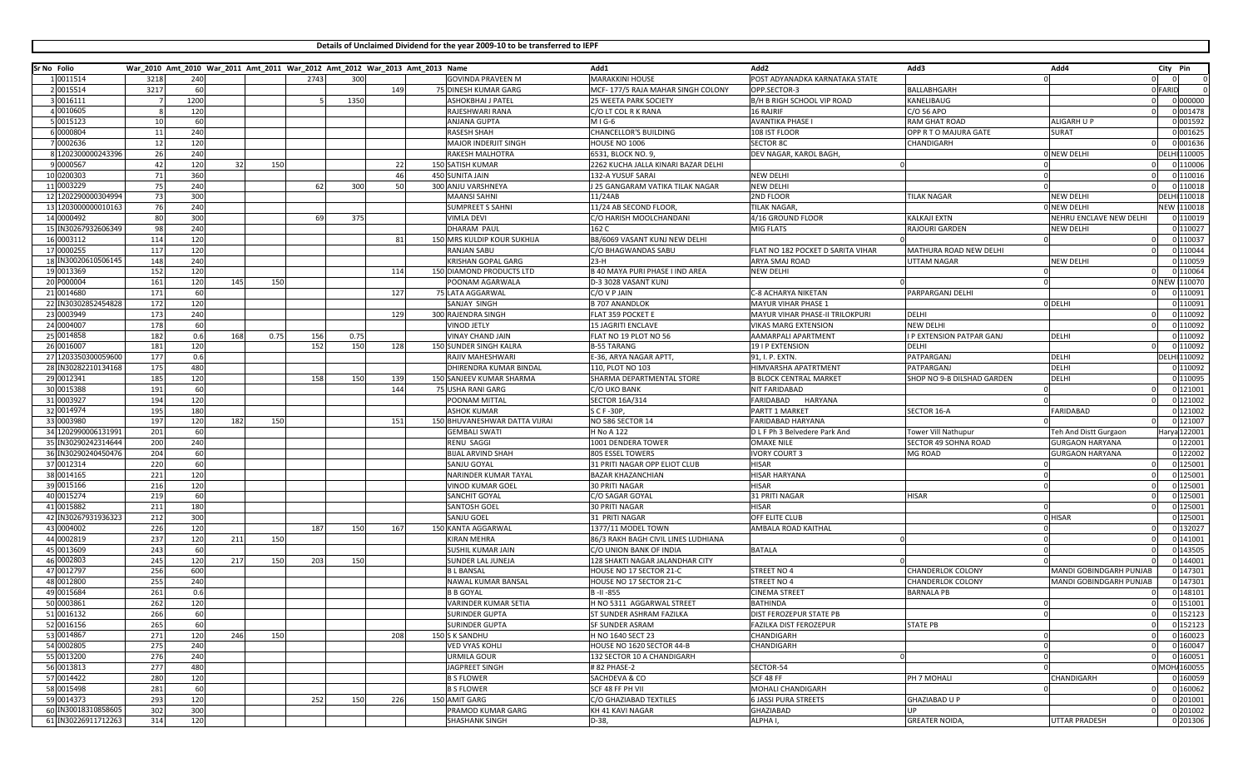**Details of Unclaimed Dividend for the year 2009-10 to be transferred to IEPF**

| Sr No Folio |                          |      |           |     |      |      |      | War_2010 Amt_2010 War_2011 Amt_2011 War_2012 Amt_2012 War_2013 Amt_2013 Name |                                     | Add1                                   | Add2                                 | Add3                             | Add4                                            | City Pin            |
|-------------|--------------------------|------|-----------|-----|------|------|------|------------------------------------------------------------------------------|-------------------------------------|----------------------------------------|--------------------------------------|----------------------------------|-------------------------------------------------|---------------------|
|             | 1 0011514                | 3218 | 240       |     |      | 2743 | 300  |                                                                              | <b>GOVINDA PRAVEEN M</b>            | <b>MARAKKINI HOUSE</b>                 | POST ADYANADKA KARNATAKA STATE       |                                  |                                                 |                     |
|             | 2 0015514                | 3217 | 60        |     |      |      |      | 149                                                                          | 75 DINESH KUMAR GARG                | MCF-177/5 RAJA MAHAR SINGH COLONY      | OPP.SECTOR-3                         | BALLABHGARH                      | 0 FARID                                         |                     |
|             | 3 0016111                |      | 1200      |     |      |      | 1350 |                                                                              | <b>ASHOKBHAI J PATEL</b>            | 25 WEETA PARK SOCIETY                  | B/H B RIGH SCHOOL VIP ROAD           | KANELIBAUG                       |                                                 | 0 000000            |
|             | 4 0010605                |      | 120       |     |      |      |      |                                                                              | RAJESHWARI RANA                     | C/O LT COL R K RANA                    | <b>16 RAJRIF</b>                     | C/O 56 APO                       |                                                 | 0 001478            |
|             | 5 0015123                | 10   | 60        |     |      |      |      |                                                                              | <b>ANJANA GUPTA</b>                 | M I G-6                                | <b>AVANTIKA PHASE I</b>              | RAM GHAT ROAD                    | <b>ALIGARH U P</b>                              | 0 001592            |
|             | 6 0000804                | 11   | 240       |     |      |      |      |                                                                              | <b>RASESH SHAH</b>                  | CHANCELLOR'S BUILDING                  | 108 IST FLOOR                        | OPP R T O MAJURA GATE            | <b>SURAT</b>                                    | 0 001625            |
|             | 0002636                  | 12   | 120       |     |      |      |      |                                                                              | MAJOR INDERJIT SINGH                | HOUSE NO 1006                          | <b>SECTOR 8C</b>                     | CHANDIGARH                       |                                                 | 0 001636            |
|             | 8 1202300000243396       | 26   | 240       |     |      |      |      |                                                                              | RAKESH MALHOTRA                     | 6531, BLOCK NO. 9,                     | DEV NAGAR, KAROL BAGH                |                                  | 0 NEW DELHI                                     | <b>DELHI 110005</b> |
|             | 9 0000567                | 42   | 120       | 32  | 150  |      |      | 22                                                                           | 150 SATISH KUMAR                    | 2262 KUCHA JALLA KINARI BAZAR DELHI    |                                      |                                  |                                                 | 0 110006            |
|             | 10 0200303               | 71   | 360       |     |      |      |      | 46                                                                           | 450 SUNITA JAIN                     | 132-A YUSUF SARAI                      | <b>NEW DELHI</b>                     |                                  |                                                 | 0 110016            |
|             | 11 0003229               | 75   | 240       |     |      | 62   | 300  | 50                                                                           | 300 ANJU VARSHNEYA                  | J 25 GANGARAM VATIKA TILAK NAGAR       | <b>NEW DELHI</b>                     |                                  |                                                 | 0 110018            |
|             | 12 1202290000304994      | 73   | 300       |     |      |      |      |                                                                              | <b>MAANSI SAHNI</b>                 | 11/24AB                                | 2ND FLOOR                            | <b>TILAK NAGAR</b>               | <b>NEW DELHI</b>                                | DELHI 110018        |
|             | 13 1203000000010163      | 76   | 240       |     |      |      |      |                                                                              | <b>SUMPREET S SAHNI</b>             | 11/24 AB SECOND FLOOR,                 | TILAK NAGAR,                         |                                  | O NEW DELHI                                     | <b>VEW 110018</b>   |
|             | 14 0000492               | 80   | 300       |     |      |      | 375  |                                                                              | <b>VIMLA DEVI</b>                   | C/O HARISH MOOLCHANDANI                | 4/16 GROUND FLOOR                    | <b>KALKAJI EXTN</b>              | NEHRU ENCLAVE NEW DELHI                         | 0 110019            |
|             | 15 IN30267932606349      | 98   | 240       |     |      |      |      |                                                                              | <b>DHARAM PAUL</b>                  | 162 C                                  | <b>MIG FLATS</b>                     | RAJOURI GARDEN                   | <b>NEW DELHI</b>                                | 0 110027            |
|             | 16 0003112               | 114  | 120       |     |      |      |      | 81                                                                           | 150 MRS KULDIP KOUR SUKHIJA         | B8/6069 VASANT KUNJ NEW DELHI          |                                      |                                  |                                                 | 0 110037            |
|             | 17 0000255               | 117  | 120       |     |      |      |      |                                                                              | <b>RANJAN SABU</b>                  | C/O BHAGWANDAS SABU                    | FLAT NO 182 POCKET D SARITA VIHAR    | MATHURA ROAD NEW DELHI           |                                                 | 0 110044            |
|             | 18 IN30020610506145      | 148  | 240       |     |      |      |      |                                                                              | <b>KRISHAN GOPAL GARG</b>           | $23-H$                                 | ARYA SMAJ ROAD                       | UTTAM NAGAR                      | <b>NEW DELHI</b>                                | 0 110059            |
|             | 19 0013369               | 152  | 120       |     |      |      |      | 114                                                                          | 150 DIAMOND PRODUCTS LTD            | B 40 MAYA PURI PHASE I IND AREA        | <b>NEW DELHI</b>                     |                                  |                                                 | 0 110064            |
|             | 20 P000004               | 161  | 120       | 145 | 150  |      |      |                                                                              | POONAM AGARWALA                     | D-3 3028 VASANT KUNJ                   |                                      |                                  |                                                 | NEW 110070          |
|             | 21 0014680               | 171  | 60        |     |      |      |      | 127                                                                          | 75 LATA AGGARWAL                    | C/O V P JAIN                           | C-8 ACHARYA NIKETAN                  | PARPARGANJ DELHI                 |                                                 | 0 110091            |
|             | 22 IN30302852454828      | 172  | 120       |     |      |      |      |                                                                              | SANJAY SINGH                        | <b>B 707 ANANDLOK</b>                  | <b>MAYUR VIHAR PHASE 1</b>           |                                  | 0 DELHI                                         | 0 110091            |
|             | 23 0003949               | 173  | 240       |     |      |      |      | 129                                                                          | 300 RAJENDRA SINGH                  | FLAT 359 POCKET E                      | MAYUR VIHAR PHASE-II TRILOKPURI      | DELHI                            |                                                 | 0 110092            |
|             | 24 0004007               | 178  | 60        |     |      |      |      |                                                                              | <b>VINOD JETLY</b>                  | <b>15 JAGRITI ENCLAVE</b>              | <b>VIKAS MARG EXTENSION</b>          | <b>NEW DELHI</b>                 |                                                 | 0 110092            |
|             | 25 0014858               | 182  | 0.6       | 168 | 0.75 | 156  | 0.75 |                                                                              | <b>VINAY CHAND JAIN</b>             | FLAT NO 19 PLOT NO 56                  | AAMARPALI APARTMENT                  | <b>I P EXTENSION PATPAR GANJ</b> | <b>DELHI</b>                                    | 0 110092            |
|             | 26 0016007               | 181  | 120       |     |      | 152  | 150  | 128                                                                          | 150 SUNDER SINGH KALRA              | <b>B-55 TARANG</b>                     | 19 I P EXTENSION                     | DELHI                            |                                                 | 0 110092            |
|             | 27 1203350300059600      | 177  | 0.6       |     |      |      |      |                                                                              | <b>RAJIV MAHESHWARI</b>             | E-36, ARYA NAGAR APTT,                 | 91, I. P. EXTN                       | PATPARGANJ                       | DELHI                                           | <b>DELHI 110092</b> |
|             | 28 IN30282210134168      | 175  | 480       |     |      |      |      |                                                                              | <b>DHIRENDRA KUMAR BINDAL</b>       | 110, PLOT NO 103                       | HIMVARSHA APATRTMENT                 | PATPARGANJ                       | <b>DELHI</b>                                    | 0 110092            |
|             | 29 0012341               | 185  | 120       |     |      | 158  | 150  | 139                                                                          | 150 SANJEEV KUMAR SHARMA            | SHARMA DEPARTMENTAL STORE              | <b>B BLOCK CENTRAL MARKET</b>        | SHOP NO 9-B DILSHAD GARDEN       | <b>DELHI</b>                                    | 0 110095            |
|             | 30 0015388               | 191  | 60        |     |      |      |      | 144                                                                          | 75 USHA RANI GARG                   | C/O UKO BANK                           | NIT FARIDABAD                        |                                  |                                                 | 0 121001            |
|             | 31 0003927               | 194  | 120       |     |      |      |      |                                                                              | POONAM MITTAL                       | <b>SECTOR 16A/314</b>                  | FARIDABAD<br>HARYANA                 |                                  |                                                 | 0 121002            |
|             | 32 0014974               | 195  | 180       |     |      |      |      |                                                                              | <b>ASHOK KUMAR</b>                  | S C F -30P,                            | PARTT 1 MARKET                       | SECTOR 16-A                      | FARIDABAD                                       | 0 121002            |
|             | 33 0003980               | 197  | 120       | 182 | 150  |      |      | 151                                                                          | 150 BHUVANESHWAR DATTA VIJRAI       | NO 586 SECTOR 14                       | <b>FARIDABAD HARYANA</b>             |                                  |                                                 | 0 121007            |
|             | 34 1202990006131991      | 201  | 60        |     |      |      |      |                                                                              | <b>GEMBALI SWATI</b>                | H No A 122                             | D L F Ph 3 Belvedere Park And        | Tower Vill Nathupur              |                                                 | larya 122001        |
|             | 35 IN30290242314644      | 200  | 240       |     |      |      |      |                                                                              |                                     |                                        | <b>OMAXE NILE</b>                    |                                  | Teh And Distt Gurgaon<br><b>GURGAON HARYANA</b> | 0 122001            |
|             | 36 IN30290240450476      | 204  | 60        |     |      |      |      |                                                                              | <b>RENU SAGGI</b>                   | 1001 DENDERA TOWER<br>805 ESSEL TOWERS | <b>IVORY COURT 3</b>                 | SECTOR 49 SOHNA ROAD             |                                                 | 0 122002            |
|             |                          | 220  |           |     |      |      |      |                                                                              | <b>BIJAL ARVIND SHAH</b>            |                                        | <b>HISAR</b>                         | MG ROAD                          | <b>GURGAON HARYANA</b>                          | 0 125001            |
|             | 37 0012314               | 221  | 60<br>120 |     |      |      |      |                                                                              | SANJU GOYAL<br>NARINDER KUMAR TAYAL | 31 PRITI NAGAR OPP ELIOT CLUB          |                                      |                                  |                                                 | 0 125001            |
|             | 38 0014165<br>39 0015166 |      |           |     |      |      |      |                                                                              |                                     | BAZAR KHAZANCHIAN                      | <b>HISAR HARYANA</b><br><b>HISAR</b> |                                  |                                                 | 0 125001            |
|             | 40 0015274               | 216  | 120<br>60 |     |      |      |      |                                                                              | <b>VINOD KUMAR GOEL</b>             | <b>30 PRITI NAGAR</b>                  |                                      |                                  |                                                 |                     |
|             |                          | 219  |           |     |      |      |      |                                                                              | <b>SANCHIT GOYAL</b>                | C/O SAGAR GOYAL                        | 31 PRITI NAGAR                       | HISAR                            |                                                 | 0 125001            |
|             | 41 0015882               | 211  | 180       |     |      |      |      |                                                                              | <b>SANTOSH GOEI</b>                 | 30 PRITI NAGAR                         | <b>HISAR</b>                         |                                  |                                                 | 0 125001            |
|             | 42 IN30267931936323      | 212  | 300       |     |      |      |      |                                                                              | SANJU GOEL                          | 31 PRITI NAGAR                         | OFF ELITE CLUB                       |                                  | 0 HISAR                                         | 0 125001            |
|             | 43 0004002               | 226  | 120       |     |      | 187  | 150  | 167                                                                          | 150 KANTA AGGARWAL                  | 1377/11 MODEL TOWN                     | AMBALA ROAD KAITHAL                  |                                  |                                                 | 0 132027            |
|             | 44 0002819               | 237  | 120       | 211 | 150  |      |      |                                                                              | <b>KIRAN MEHRA</b>                  | 86/3 RAKH BAGH CIVIL LINES LUDHIANA    |                                      |                                  |                                                 | 0 141001            |
|             | 45 0013609               | 243  | 60        |     |      |      |      |                                                                              | <b>SUSHIL KUMAR JAIN</b>            | C/O UNION BANK OF INDIA                | <b>BATALA</b>                        |                                  |                                                 | 0 143505            |
|             | 46 0002803               | 245  | 120       | 217 | 150  | 203  | 150  |                                                                              | <b>SUNDER LAL JUNEJA</b>            | 128 SHAKTI NAGAR JALANDHAR CITY        |                                      |                                  |                                                 | 0 144001            |
|             | 47 0012797               | 256  | 600       |     |      |      |      |                                                                              | <b>BL BANSAL</b>                    | HOUSE NO 17 SECTOR 21-C                | <b>STREET NO 4</b>                   | CHANDERLOK COLONY                | <b>MANDI GOBINDGARH PUNJAE</b>                  | 0 147301            |
|             | 48 0012800               | 255  | 240       |     |      |      |      |                                                                              | <b>NAWAL KUMAR BANSAL</b>           | HOUSE NO 17 SECTOR 21-C                | STREET NO 4                          | CHANDERLOK COLONY                | MANDI GOBINDGARH PUNJAE                         | 0 147301            |
|             | 49 0015684               | 261  | 0.6       |     |      |      |      |                                                                              | <b>B B GOYAL</b>                    | B-II-855                               | <b>CINEMA STREET</b>                 | <b>BARNALA PB</b>                |                                                 | 0 148101            |
|             | 50 0003861               | 262  | 120       |     |      |      |      |                                                                              | <b>VARINDER KUMAR SETIA</b>         | H NO 5311 AGGARWAL STREET              | <b>BATHINDA</b>                      |                                  |                                                 | 0 151001            |
|             | 51 0016132               | 266  | 60        |     |      |      |      |                                                                              | <b>SURINDER GUPTA</b>               | ST SUNDER ASHRAM FAZILKA               | DIST FEROZEPUR STATE PB              |                                  |                                                 | 0 152123            |
|             | 52 0016156               | 265  | 60        |     |      |      |      |                                                                              | SURINDER GUPTA                      | SF SUNDER ASRAM                        | FAZILKA DIST FEROZEPUR               | <b>STATE PB</b>                  |                                                 | 0 152123            |
|             | 53 0014867               | 271  | 120       | 246 | 150  |      |      | 208                                                                          | 150 S K SANDHU                      | H NO 1640 SECT 23                      | CHANDIGARH                           |                                  |                                                 | 0 160023            |
|             | 54 0002805               | 275  | 240       |     |      |      |      |                                                                              | <b>VED VYAS KOHLI</b>               | HOUSE NO 1620 SECTOR 44-B              | CHANDIGARH                           | 0                                |                                                 | 0 160047            |
|             | 55 0013200               | 276  | 240       |     |      |      |      |                                                                              | <b>URMILA GOUR</b>                  | 132 SECTOR 10 A CHANDIGARH             |                                      |                                  |                                                 | 0 160051            |
|             | 56 0013813               | 277  | 480       |     |      |      |      |                                                                              | JAGPREET SINGH                      | # 82 PHASE-2                           | SECTOR-54                            |                                  |                                                 | 0 MOH 160055        |
|             | 57 0014422               | 280  | 120       |     |      |      |      |                                                                              | <b>B S FLOWER</b>                   | SACHDEVA & CO                          | SCF 48 FF                            | PH 7 MOHALI                      | CHANDIGARH                                      | 0 160059            |
|             | 58 0015498               | 281  | 60        |     |      |      |      |                                                                              | <b>B S FLOWER</b>                   | SCF 48 FF PH VII                       | <b>MOHALI CHANDIGARH</b>             |                                  |                                                 | 0 160062            |
|             | 59 0014373               | 293  | 120       |     |      | 252  | 150  | 226                                                                          | 150 AMIT GARG                       | C/O GHAZIABAD TEXTILES                 | <b>6 JASSI PURA STREETS</b>          | <b>GHAZIABAD U P</b>             |                                                 | 0 201001            |
|             | 60 IN30018310858605      | 302  | 300       |     |      |      |      |                                                                              | PRAMOD KUMAR GARG                   | KH 41 KAVI NAGAR                       | GHAZIABAD                            | UP.                              |                                                 | 0 201002            |
|             | 61 IN30226911712263      | 314  | 120       |     |      |      |      |                                                                              | <b>SHASHANK SINGH</b>               | D-38,                                  | ALPHA I,                             | <b>GREATER NOIDA</b>             | <b>UTTAR PRADESH</b>                            | 0 201306            |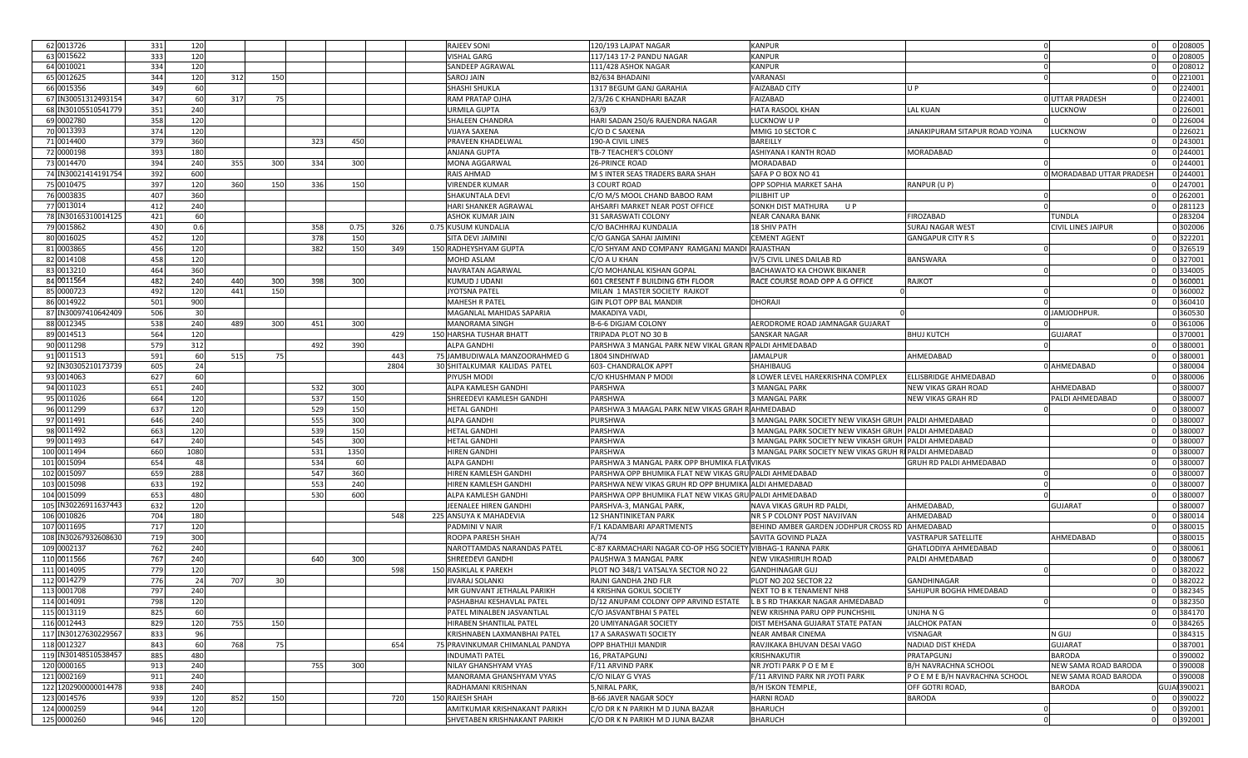| 62 0013726           | 331 | 120            |     |     |     |      |      | <b>RAJEEV SONI</b>                                   | 120/193 LAJPAT NAGAR                                        | <b>KANPUR</b>                                           |                                        |                           | 0 208005     |
|----------------------|-----|----------------|-----|-----|-----|------|------|------------------------------------------------------|-------------------------------------------------------------|---------------------------------------------------------|----------------------------------------|---------------------------|--------------|
| 63 0015622           | 333 | 12C            |     |     |     |      |      | VISHAL GARG                                          | 117/143 17-2 PANDU NAGAR                                    | KANPUR                                                  |                                        |                           | 0 208005     |
| 64 0010021           | 334 | 120            |     |     |     |      |      | SANDEEP AGRAWAL                                      | 111/428 ASHOK NAGAR                                         | KANPUR                                                  |                                        |                           | 0 208012     |
| 65 0012625           | 344 | 120            | 312 | 150 |     |      |      | <b>SAROJ JAIN</b>                                    | B2/634 BHADAINI                                             | VARANASI                                                |                                        |                           | 0 221001     |
| 66 0015356           | 349 | 60             |     |     |     |      |      | <b>SHASHI SHUKLA</b>                                 | 1317 BEGUM GANJ GARAHIA                                     | <b>FAIZABAD CITY</b>                                    | U P                                    |                           | 0 224001     |
| 67 IN30051312493154  | 347 | 60             | 317 | -75 |     |      |      | RAM PRATAP OJHA                                      | 2/3/26 C KHANDHARI BAZAR                                    | FAIZABAD                                                |                                        | <b>OUTTAR PRADESH</b>     | 0 224001     |
| 68 IN30105510541779  | 351 | 240            |     |     |     |      |      |                                                      | 63/9                                                        |                                                         |                                        |                           | 0 226001     |
| 69 0002780           |     |                |     |     |     |      |      | <b>URMILA GUPTA</b>                                  |                                                             | HATA RASOOL KHAN                                        | <b>LAL KUAN</b>                        | LUCKNOW                   |              |
|                      | 358 | 12C            |     |     |     |      |      | <b>SHALEEN CHANDRA</b>                               | HARI SADAN 250/6 RAJENDRA NAGAR                             | LUCKNOW U P                                             |                                        |                           | 0 226004     |
| 70 0013393           | 374 | 120            |     |     |     |      |      | <b>VIJAYA SAXENA</b>                                 | C/O D C SAXENA                                              | MMIG 10 SECTOR C                                        | JANAKIPURAM SITAPUR ROAD YOJNA         | <b>LUCKNOW</b>            | 0 226021     |
| 71 0014400           | 379 | 360            |     |     | 323 | 450  |      | PRAVEEN KHADELWAL                                    | 190-A CIVIL LINES                                           | BAREILLY                                                |                                        |                           | 0 243001     |
| 72 0000198           | 393 | 180            |     |     |     |      |      | <b>ANJANA GUPTA</b>                                  | TB-7 TEACHER'S COLONY                                       | ASHIYANA I KANTH ROAD                                   | MORADABAD                              |                           | 0 244001     |
| 73 0014470           | 394 | 240            | 355 | 300 | 334 | 300  |      | <b>MONA AGGARWAL</b>                                 | 26-PRINCE ROAD                                              | MORADABAD                                               |                                        |                           | 0 244001     |
| 74 IN30021414191754  | 392 | 60C            |     |     |     |      |      | <b>RAIS AHMAD</b>                                    | M S INTER SEAS TRADERS BARA SHAH                            | SAFA P O BOX NO 41                                      |                                        | 0 MORADABAD UTTAR PRADESH | 0 244001     |
| 75 0010475           | 397 | 120            | 360 | 150 | 336 | 150  |      | <b>VIRENDER KUMAR</b>                                | 3 COURT ROAD                                                | OPP SOPHIA MARKET SAHA                                  | RANPUR (U P)                           |                           | 0 247001     |
| 76 0003835           | 407 | 360            |     |     |     |      |      | SHAKUNTALA DEVI                                      | C/O M/S MOOL CHAND BABOO RAM                                | PILIBHIT UP                                             |                                        |                           | 0 262001     |
| 77 0013014           | 412 | 240            |     |     |     |      |      | <b>HARI SHANKER AGRAWAL</b>                          | AHSARFI MARKET NEAR POST OFFICE                             | SONKH DIST MATHURA<br>U P                               |                                        |                           | 0 281123     |
| 78 IN30165310014125  | 421 | 60             |     |     |     |      |      | <b>ASHOK KUMAR JAIN</b>                              | 31 SARASWATI COLONY                                         | NEAR CANARA BANK                                        | FIROZABAD                              | TUNDLA                    | 0 283204     |
| 79 0015862           | 430 | 0.6            |     |     | 358 | 0.75 | 326  | 0.75 KUSUM KUNDALIA                                  | C/O BACHHRAJ KUNDALIA                                       | <b>18 SHIV PATH</b>                                     | <b>SURAJ NAGAR WEST</b>                | CIVIL LINES JAIPUR        | 0 302006     |
| 80 0016025           | 452 | 12C            |     |     | 378 | 150  |      | SITA DEVI JAIMINI                                    | C/O GANGA SAHAI JAIMINI                                     | <b>CEMENT AGENT</b>                                     | <b>GANGAPUR CITY R S</b>               |                           | 0 322201     |
| 81 0003865           | 456 | 12C            |     |     | 382 | 150  | 349  | 150 RADHEYSHYAM GUPTA                                | C/O SHYAM AND COMPANY RAMGANJ MANDI                         | <b>RAJASTHAN</b>                                        |                                        |                           | 0 326519     |
| 82 0014108           | 458 | 120            |     |     |     |      |      | <b>MOHD ASLAM</b>                                    | C/O A U KHAN                                                | V/5 CIVIL LINES DAILAB RD                               | <b>BANSWARA</b>                        |                           | 0 327001     |
| 83 0013210           | 464 | 360            |     |     |     |      |      | NAVRATAN AGARWAI                                     | C/O MOHANLAL KISHAN GOPAL                                   | BACHAWATO KA CHOWK BIKANER                              |                                        |                           | 0 334005     |
| 84 0011564           | 482 | 240            | 440 | 300 | 398 | 300  |      | <b>KUMUD J UDANI</b>                                 | 601 CRESENT F BUILDING 6TH FLOOR                            | RACE COURSE ROAD OPP A G OFFICE                         | RAJKOT                                 |                           | 0 360001     |
| 85 0000723           | 492 | 12C            | 441 | 150 |     |      |      | <b>JYOTSNA PATEL</b>                                 | MILAN 1 MASTER SOCIETY RAJKOT                               |                                                         |                                        |                           | 0 360002     |
| 86 0014922           | 501 | 900            |     |     |     |      |      | <b>MAHESH R PATEL</b>                                | GIN PLOT OPP BAL MANDIR                                     | DHORAJI                                                 |                                        |                           | 0 360410     |
| 87 IN30097410642409  | 506 | 3 <sup>0</sup> |     |     |     |      |      | MAGANLAL MAHIDAS SAPARIA                             | MAKADIYA VADI,                                              |                                                         |                                        | 0 JAMJODHPUR              | 0 360530     |
| 88 0012345           | 538 | 240            | 489 | 300 | 451 | 300  |      | <b>MANORAMA SINGH</b>                                | <b>B-6-6 DIGJAM COLONY</b>                                  | AERODROME ROAD JAMNAGAR GUJARAT                         |                                        |                           | 0 361006     |
| 89 0014513           |     |                |     |     |     |      |      |                                                      |                                                             | SANSKAR NAGAR                                           |                                        |                           |              |
|                      | 564 | 120            |     |     |     |      | 429  | 150 HARSHA TUSHAR BHATT                              | FRIPADA PLOT NO 30 B                                        |                                                         | BHUJ KUTCH                             | GUJARAT                   | 0 370001     |
| 90 0011298           | 579 | 312            |     |     | 492 | 390  |      | <b>ALPA GANDHI</b>                                   | PARSHWA 3 MANGAL PARK NEW VIKAL GRAN R PALDI AHMEDABAD      |                                                         |                                        |                           | 0 380001     |
| 91 0011513           | 591 | 60             | 515 | 75  |     |      | 443  | 75 JAMBUDIWALA MANZOORAHMED G                        | 1804 SINDHIWAD                                              | <b>IAMALPUR</b>                                         | AHMEDABAD                              |                           | 0 380001     |
| 92 IN30305210173739  | 605 | 24             |     |     |     |      | 2804 | 30 SHITALKUMAR KALIDAS PATEL                         | 603- CHANDRALOK APPT                                        | SHAHIBAUG                                               |                                        | 0 AHMEDABAD               | 0 380004     |
| 93 0014063           | 627 | 60             |     |     |     |      |      | PIYUSH MODI                                          | C/O KHUSHMAN P MODI                                         | 8 LOWER LEVEL HAREKRISHNA COMPLEX                       | ELLISBRIDGE AHMEDABAD                  |                           | 0 380006     |
| 94 0011023           | 651 | 240            |     |     | 532 | 300  |      | ALPA KAMLESH GANDHI                                  | PARSHWA                                                     | 3 MANGAL PARK                                           | NEW VIKAS GRAH ROAD                    | AHMEDABAD                 | 0 380007     |
| 95 0011026           | 664 | 12C            |     |     | 537 | 150  |      | SHREEDEVI KAMLESH GANDHI                             | PARSHWA                                                     | 3 MANGAL PARK                                           | NEW VIKAS GRAH RD                      | PALDI AHMEDABAD           | 0 380007     |
| 96 0011299           | 637 | 12C            |     |     | 529 | 150  |      | <b>HETAL GANDHI</b>                                  | PARSHWA 3 MAAGAL PARK NEW VIKAS GRAH R AHMEDABAD            |                                                         |                                        |                           | 0 380007     |
| 97 0011491           | 646 | 240            |     |     | 555 | 300  |      | <b>ALPA GANDHI</b>                                   | PURSHWA                                                     | 3 MANGAL PARK SOCIETY NEW VIKASH GRUH PALDI AHMEDABAD   |                                        |                           | 0 380007     |
| 98 0011492           | 663 | 120            |     |     | 539 | 150  |      | <b>HETAL GANDH</b>                                   | PARSHWA                                                     | 3 MANGAL PARK SOCIETY NEW VIKASH GRUH PALDI AHMEDABAD   |                                        |                           | 0 380007     |
| 99 0011493           | 647 | 240            |     |     | 545 | 300  |      | <b>HETAL GANDHI</b>                                  | PARSHWA                                                     | 3 MANGAL PARK SOCIETY NEW VIKASH GRUH                   | PALDI AHMEDABAD                        |                           | 0 380007     |
| 100 0011494          | 660 | 1080           |     |     | 531 | 1350 |      | <b>HIREN GANDH</b>                                   | PARSHWA                                                     | 3 MANGAL PARK SOCIETY NEW VIKAS GRUH RI PALDI AHMEDABAD |                                        |                           | 0 380007     |
| 101 0015094          | 654 | -48            |     |     | 534 | 60   |      | <b>ALPA GANDHI</b>                                   | PARSHWA 3 MANGAL PARK OPP BHUMIKA FLATVIKAS                 |                                                         | GRUH RD PALDI AHMEDABAD                |                           | 0 380007     |
| 102 0015097          | 659 | 288            |     |     | 547 | 360  |      | HIREN KAMLESH GANDHI                                 | PARSHWA OPP BHUMIKA FLAT NEW VIKAS GRU PALDI AHMEDABAD      |                                                         |                                        |                           | 0 380007     |
| 103 0015098          | 633 | 192            |     |     | 553 | 240  |      | HIREN KAMLESH GANDHI                                 | PARSHWA NEW VIKAS GRUH RD OPP BHUMIKA ALDI AHMEDABAD        |                                                         |                                        |                           | 0 380007     |
| 104 0015099          | 653 | 480            |     |     | 530 | 600  |      | ALPA KAMLESH GANDHI                                  | PARSHWA OPP BHUMIKA FLAT NEW VIKAS GRU PALDI AHMEDABAD      |                                                         |                                        |                           | 0 380007     |
| 105 IN30226911637443 | 632 | 120            |     |     |     |      |      | JEENALEE HIREN GANDH                                 | PARSHVA-3, MANGAL PARK                                      | NAVA VIKAS GRUH RD PALDI,                               | AHMEDABAD                              | GUJARAT                   | 0 380007     |
| 106 0010826          | 704 | 180            |     |     |     |      | 548  | 225 ANSUYA K MAHADEVIA                               | 12 SHANTINIKETAN PARK                                       | NR S P COLONY POST NAVJIVAN                             | AHMEDABAD                              |                           | 0 380014     |
| 107 0011695          | 717 | 120            |     |     |     |      |      | PADMINI V NAIR                                       | F/1 KADAMBARI APARTMENTS                                    | BEHIND AMBER GARDEN JODHPUR CROSS RD AHMEDABAD          |                                        |                           | 0 380015     |
| 108 IN30267932608630 | 719 | 300            |     |     |     |      |      | ROOPA PARESH SHAH                                    | A/74                                                        | SAVITA GOVIND PLAZA                                     | VASTRAPUR SATELLITE                    | AHMEDABAD                 | 0 380015     |
| 109 0002137          | 762 | 240            |     |     |     |      |      | NAROTTAMDAS NARANDAS PATEL                           | C-87 KARMACHARI NAGAR CO-OP HSG SOCIETY VIBHAG-1 RANNA PARK |                                                         | GHATLODIYA AHMEDABAD                   |                           | 0 380061     |
| 110 0011566          | 767 | 240            |     |     | 640 | 300  |      | <b>SHREEDEVI GANDHI</b>                              | PAUSHWA 3 MANGAL PARK                                       | NEW VIKASHIRUH ROAD                                     | PALDI AHMEDABAD                        |                           | 0 380067     |
| 111 0014095          | 779 | 12C            |     |     |     |      | 598  | 150 RASIKLAL K PAREKH                                | PLOT NO 348/1 VATSALYA SECTOR NO 22                         | <b>GANDHINAGAR GUJ</b>                                  |                                        |                           | 0 382022     |
| 112 0014279          | 776 | 24             | 707 |     |     |      |      |                                                      |                                                             | PLOT NO 202 SECTOR 22                                   |                                        |                           | 0 382022     |
| 113 0001708          | 797 | 240            |     |     |     |      |      | <b>JIVARAJ SOLANKI</b><br>MR GUNVANT JETHALAL PARIKH | RAJNI GANDHA 2ND FLR                                        |                                                         | GANDHINAGAR<br>SAHIJPUR BOGHA HMEDABAD |                           | 0 382345     |
|                      |     |                |     |     |     |      |      |                                                      | 4 KRISHNA GOKUL SOCIETY                                     | NEXT TO B K TENAMENT NH8                                |                                        |                           |              |
| 114 0014091          | 798 | 120            |     |     |     |      |      | PASHABHAI KESHAVLAL PATEL                            | D/12 ANUPAM COLONY OPP ARVIND ESTATE                        | L B S RD THAKKAR NAGAR AHMEDABAD                        |                                        |                           | 0 382350     |
| 115 0013119          | 825 | 60             |     |     |     |      |      | PATEL MINALBEN JASVANTLAL                            | C/O JASVANTBHAI S PATEL                                     | NEW KRISHNA PARU OPP PUNCHSHIL                          | UNJHANG                                |                           | 0 384170     |
| 116 0012443          | 829 | 120            | 755 | 150 |     |      |      | HIRABEN SHANTILAL PATEL                              | 20 UMIYANAGAR SOCIETY                                       | DIST MEHSANA GUJARAT STATE PATAN                        | <b>JALCHOK PATAN</b>                   |                           | 0 384265     |
| 117 IN30127630229567 | 833 | 96             |     |     |     |      |      | KRISHNABEN LAXMANBHAI PATEL                          | 17 A SARASWATI SOCIETY                                      | <b>NEAR AMBAR CINEMA</b>                                | VISNAGAR                               | n guj                     | 0 384315     |
| 118 0012327          | 843 | 60             | 768 | 75  |     |      | 654  | 75 PRAVINKUMAR CHIMANLAL PANDYA                      | <b>OPP BHATHIJI MANDIR</b>                                  | RAVJIKAKA BHUVAN DESAI VAGO                             | NADIAD DIST KHEDA                      | <b>GUJARAT</b>            | 0 387001     |
| 119 IN30148510538457 | 885 | 480            |     |     |     |      |      | <b>INDUMATI PATEL</b>                                | 16, PRATAPGUNJ                                              | KRISHNAKUTIR                                            | PRATAPGUNJ                             | <b>BARODA</b>             | 0 390002     |
| 120 0000165          | 913 | 240            |     |     | 755 | 300  |      | NILAY GHANSHYAM VYAS                                 | F/11 ARVIND PARK                                            | NR JYOTI PARK P O E M E                                 | B/H NAVRACHNA SCHOOL                   | NEW SAMA ROAD BARODA      | 0 390008     |
| 121 0002169          | 911 | 240            |     |     |     |      |      | MANORAMA GHANSHYAM VYAS                              | C/O NILAY G VYAS                                            | F/11 ARVIND PARK NR JYOTI PARK                          | P O E M E B/H NAVRACHNA SCHOOL         | NEW SAMA ROAD BARODA      | 0 390008     |
| 122 1202900000014478 | 938 | 240            |     |     |     |      |      | RADHAMANI KRISHNAN                                   | 5, NIRAL PARK,                                              | B/H ISKON TEMPLE,                                       | OFF GOTRI ROAD,                        | BARODA                    | GUJAI 390021 |
| 123 0014576          | 939 | 120            | 852 | 150 |     |      | 720  | <b>150 RAJESH SHAH</b>                               | <b>B-66 JAVER NAGAR SOCY</b>                                | <b>HARNI ROAD</b>                                       | <b>BARODA</b>                          |                           | 0 390022     |
| 124 0000259          | 944 | 120            |     |     |     |      |      | AMITKUMAR KRISHNAKANT PARIKH                         | C/O DR K N PARIKH M D JUNA BAZAR                            | <b>BHARUCH</b>                                          |                                        |                           | 0 392001     |
| 125 0000260          | 946 | 120            |     |     |     |      |      | SHVETABEN KRISHNAKANT PARIKH                         | C/O DR K N PARIKH M D JUNA BAZAR                            | BHARUCH                                                 |                                        | $\Omega$                  | 0 392001     |
|                      |     |                |     |     |     |      |      |                                                      |                                                             |                                                         |                                        |                           |              |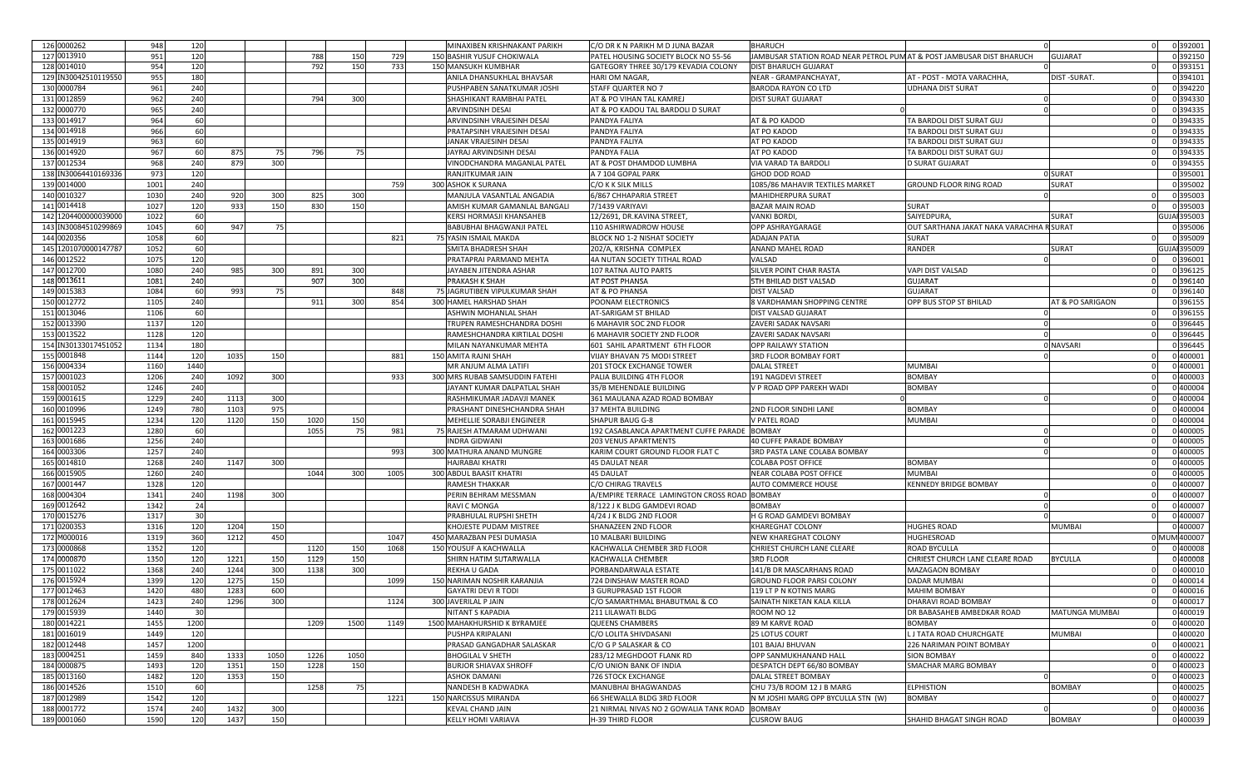| 126 0000262                | 948          | 120             |              |            |              |           |      | MINAXIBEN KRISHNAKANT PARIKH           | C/O DR K N PARIKH M D JUNA BAZAR                           | BHARUCH                                                               |                                          |                  | 0 392001            |
|----------------------------|--------------|-----------------|--------------|------------|--------------|-----------|------|----------------------------------------|------------------------------------------------------------|-----------------------------------------------------------------------|------------------------------------------|------------------|---------------------|
| 127 0013910                | 951          | 120             |              |            | 788          | 150       | 729  | 150 BASHIR YUSUF CHOKIWALA             | PATEL HOUSING SOCIETY BLOCK NO 55-56                       | IAMBUSAR STATION ROAD NEAR PETROL PUM AT & POST JAMBUSAR DIST BHARUCH |                                          | GUJARAT          | 0 392150            |
| 128 0014010                | 954          | 120             |              |            | 792          | 150       | 733  | <b>150 MANSUKH KUMBHAR</b>             | GATEGORY THREE 30/179 KEVADIA COLONY                       | DIST BHARUCH GUJARAT                                                  |                                          |                  | 0 393151            |
| 129 IN30042510119550       | 955          | 180             |              |            |              |           |      | ANILA DHANSUKHLAL BHAVSAR              | <b>HARI OM NAGAR</b>                                       | <b>NEAR - GRAMPANCHAYAT</b>                                           | AT - POST - MOTA VARACHHA                | DIST-SURAT       | 0 394101            |
| 130 0000784                | 961          | 240             |              |            |              |           |      | PUSHPABEN SANATKUMAR JOSHI             | STAFF QUARTER NO 7                                         | BARODA RAYON CO LTD                                                   | <b>UDHANA DIST SURAT</b>                 |                  | 0 394220            |
|                            |              |                 |              |            |              |           |      |                                        |                                                            |                                                                       |                                          |                  |                     |
| 131 0012859                | 962          | 240             |              |            | 794          | 300       |      | SHASHIKANT RAMBHAI PATEL               | AT & PO VIHAN TAL KAMREJ                                   | <b>DIST SURAT GUJARAT</b>                                             |                                          |                  | 0 394330            |
| 132 0000770                | 965          | 240             |              |            |              |           |      | ARVINDSINH DESAI                       | AT & PO KADOU TAL BARDOLI D SURAT                          |                                                                       |                                          |                  | 0 394335            |
| 133 0014917                | 964          | 60              |              |            |              |           |      | ARVINDSINH VRAJESINH DESAI             | PANDYA FALIYA                                              | AT & PO KADOD                                                         | TA BARDOLI DIST SURAT GUJ                |                  | 0 394335            |
| 134 0014918                | 966          | 60              |              |            |              |           |      | PRATAPSINH VRAJESINH DESAI             | PANDYA FALIYA                                              | AT PO KADOD                                                           | TA BARDOLI DIST SURAT GUJ                |                  | 0 394335            |
| 135 0014919                | 963          | 60              |              |            |              |           |      | JANAK VRAJESINH DESAI                  | PANDYA FALIYA                                              | AT PO KADOD                                                           | TA BARDOLI DIST SURAT GUJ                |                  | 0 394335            |
| 136 0014920                | 967          | 60              | 875          |            | 796          | 75        |      | JAYRAJ ARVINDSINH DESAI                | PANDYA FALIA                                               | AT PO KADOD                                                           | TA BARDOLI DIST SURAT GUJ                |                  | 0 394335            |
| 137 0012534                | 968          | 240             | 879          | 300        |              |           |      | /INODCHANDRA MAGANLAL PATEI            | AT & POST DHAMDOD LUMBHA                                   | VIA VARAD TA BARDOLI                                                  | <b>D SURAT GUJARAT</b>                   |                  | 0 394355            |
| 138 IN30064410169336       | 973          | 12C             |              |            |              |           |      | RANJITKUMAR JAIN                       | A 7 104 GOPAL PARK                                         | GHOD DOD ROAD                                                         |                                          | 0 SURAT          | 0 395001            |
| 139 0014000                | 1001         | 240             |              |            |              |           | 759  | 300 ASHOK K SURANA                     | C/O K K SILK MILLS                                         | 1085/86 MAHAVIR TEXTILES MARKET                                       | <b>GROUND FLOOR RING ROAD</b>            | SURAT            | 0 395002            |
| 140 0010327                | 1030         | 240             | 920          | 300        | 825          | 300       |      | MANJULA VASANTLAL ANGADIA              | 6/867 CHHAPARIA STREET                                     | MAHIDHERPURA SURAT                                                    |                                          |                  | 0 395003            |
| 141 0014418                | 1027         | 12C             | 933          | 150        | 830          | 150       |      | AMISH KUMAR GAMANLAL BANGALI           | 7/1439 VARIYAVI                                            | <b>BAZAR MAIN ROAD</b>                                                | <b>SURAT</b>                             |                  | 0 395003            |
| 142 1204400000039000       | 1022         | 60              |              |            |              |           |      | KERSI HORMASJI KHANSAHEB               | 12/2691, DR.KAVINA STREET,                                 | VANKI BORDI,                                                          | <b>SAIYEDPURA</b>                        | SURAT            | GUJAI 395003        |
| 143 IN30084510299869       | 1045         | 60              | 947          | 75         |              |           |      | <b>BABUBHAI BHAGWANJI PATEL</b>        | 110 ASHIRWADROW HOUSE                                      | OPP ASHRAYGARAGE                                                      | OUT SARTHANA JAKAT NAKA VARACHHA R SURAT |                  | 0 395006            |
| 144 0020356                | 1058         | 60              |              |            |              |           | 821  | 75 YASIN ISMAIL MAKDA                  | BLOCK NO 1-2 NISHAT SOCIETY                                | ADAJAN PATIA                                                          | SURAT                                    |                  | 0 395009            |
|                            |              |                 |              |            |              |           |      |                                        |                                                            |                                                                       |                                          |                  |                     |
| 145 1201070000147787       | 1052         | 60              |              |            |              |           |      | SMITA BHADRESH SHAH                    | 202/A, KRISHNA COMPLEX                                     | ANAND MAHEL ROAD                                                      | RANDER                                   | SURAT            | <b>GUJAI 395009</b> |
| 146 0012522                | 1075         | 12C             |              |            |              |           |      | PRATAPRAI PARMAND MEHTA                | 4A NUTAN SOCIETY TITHAL ROAD                               | VALSAD                                                                |                                          |                  | 0 396001            |
| 147 0012700                | 1080         | 240             | 985          | 300        | 891          | 300       |      | JAYABEN JITENDRA ASHAR                 | 107 RATNA AUTO PARTS                                       | SILVER POINT CHAR RASTA                                               | VAPI DIST VALSAD                         |                  | 0 396125            |
| 148 0013611                | 1081         | 240             |              |            | 907          | 300       |      | PRAKASH K SHAH                         | AT POST PHANSA                                             | 5TH BHILAD DIST VALSAD                                                | <b>GUJARAT</b>                           |                  | 0 396140            |
| 149 0015383                | 1084         | 60              | 993          |            |              |           | 848  | 75 JAGRUTIBEN VIPULKUMAR SHAH          | AT & PO PHANSA                                             | <b>DIST VALSAD</b>                                                    | <b>GUJARAT</b>                           |                  | 0 396140            |
| 150 0012772                | 1105         | 240             |              |            | 911          | 300       | 854  | 300 HAMEL HARSHAD SHAH                 | POONAM ELECTRONICS                                         | 8 VARDHAMAN SHOPPING CENTRE                                           | OPP BUS STOP ST BHILAD                   | AT & PO SARIGAON | 0 396155            |
| 151 0013046                | 1106         | 60              |              |            |              |           |      | ASHWIN MOHANLAL SHAH                   | AT-SARIGAM ST BHILAD                                       | DIST VALSAD GUJARAT                                                   |                                          |                  | 0 396155            |
| 152 0013390                | 1137         | 120             |              |            |              |           |      | TRUPEN RAMESHCHANDRA DOSHI             | 6 MAHAVIR SOC 2ND FLOOR                                    | ZAVERI SADAK NAVSARI                                                  |                                          |                  | 0 396445            |
| 153 0013522                | 1128         | 12C             |              |            |              |           |      | RAMESHCHANDRA KIRTILAL DOSHI           | 6 MAHAVIR SOCIETY 2ND FLOOR                                | ZAVERI SADAK NAVSAR                                                   |                                          |                  | 0 396445            |
| 154 IN30133017451052       | 1134         | 180             |              |            |              |           |      | MILAN NAYANKUMAR MEHTA                 | 601 SAHIL APARTMENT 6TH FLOOR                              | <b>OPP RAILAWY STATION</b>                                            |                                          | 0 NAVSARI        | 0 396445            |
| 155 0001848                | 1144         | 120             | 1035         | 150        |              |           | 881  | 150 AMITA RAJNI SHAH                   | VIJAY BHAVAN 75 MODI STREET                                | 3RD FLOOR BOMBAY FORT                                                 |                                          |                  | 0 400001            |
| 156 0004334                | 1160         | 1440            |              |            |              |           |      | MR ANJUM ALMA LATIFI                   | <b>201 STOCK EXCHANGE TOWER</b>                            | <b>DALAL STREET</b>                                                   | <b>MUMBAI</b>                            |                  | 0 400001            |
| 157 0001023                | 1206         | 240             | 1092         | 300        |              |           | 933  | 300 MRS RUBAB SAMSUDDIN FATEHI         | PALIA BUILDING 4TH FLOOR                                   | 191 NAGDEVI STREET                                                    | <b>BOMBAY</b>                            |                  | 0 400003            |
| 158 0001052                | 1246         | 240             |              |            |              |           |      | JAYANT KUMAR DALPATLAL SHAH            | 35/B MEHENDALE BUILDING                                    | V P ROAD OPP PAREKH WADI                                              | <b>BOMBAY</b>                            |                  | 0 400004            |
| 159 0001615                | 1229         | 240             | 1113         | 300        |              |           |      | RASHMIKUMAR JADAVJI MANEK              | 361 MAULANA AZAD ROAD BOMBAY                               |                                                                       |                                          |                  | 0 400004            |
| 160 0010996                | 1249         | 78C             | 1103         | 975        |              |           |      | PRASHANT DINESHCHANDRA SHAH            | 37 MEHTA BUILDING                                          | 2ND FLOOR SINDHI LANE                                                 | <b>BOMBAY</b>                            |                  | 0 400004            |
| 161 0015945                | 1234         | 12C             | 1120         | 150        |              |           |      | MEHELLIE SORABJI ENGINEER              | <b>SHAPUR BAUG G-8</b>                                     | V PATEL ROAD                                                          | MUMBAI                                   |                  | 0 400004            |
| 162 0001223                | 1280         | 60              |              |            | 1020<br>1055 | 150<br>75 | 981  | 75 RAJESH ATMARAM UDHWANI              | 192 CASABLANCA APARTMENT CUFFE PARADE                      | <b>BOMBAY</b>                                                         |                                          |                  | 0 400005            |
| 163 0001686                | 1256         |                 |              |            |              |           |      | <b>INDRA GIDWANI</b>                   | <b>203 VENUS APARTMENTS</b>                                | 40 CUFFE PARADE BOMBAY                                                |                                          |                  | 0 400005            |
|                            |              | 240             |              |            |              |           |      |                                        |                                                            |                                                                       |                                          |                  |                     |
| 164 0003306                | 1257         | 240             |              |            |              |           | 993  | 300 MATHURA ANAND MUNGRE               | KARIM COURT GROUND FLOOR FLAT C                            | 3RD PASTA LANE COLABA BOMBAY                                          |                                          |                  | 0 400005            |
| 165 0014810                | 1268         | 240             | 1147         | 300        |              |           |      | HAJRABAI KHATR                         | 45 DAULAT NEAR                                             | <b>COLABA POST OFFICI</b>                                             | <b>BOMBAY</b>                            |                  | 0 400005            |
| 166 0015905                | 1260         | 240             |              |            | 1044         | 300       | 1005 | 300 ABDUL BAASIT KHATRI                | <b>45 DAULAT</b>                                           | NEAR COLABA POST OFFICE                                               | <b>MUMBAI</b>                            |                  | 0 400005            |
| 167 0001447                | 1328         | 12C             |              |            |              |           |      | RAMESH THAKKAR                         | C/O CHIRAG TRAVELS                                         | <b>AUTO COMMERCE HOUSE</b>                                            | <b>KENNEDY BRIDGE BOMBAY</b>             |                  | 0 400007            |
| 168 0004304                | 1341         | 240             | 1198         | 300        |              |           |      | PERIN BEHRAM MESSMAN                   | A/EMPIRE TERRACE LAMINGTON CROSS ROAD BOMBAY               |                                                                       |                                          |                  | 0 400007            |
| 169 0012642                | 1342         | 24              |              |            |              |           |      | RAVI C MONGA                           | 8/122 J K BLDG GAMDEVI ROAD                                | BOMBAY                                                                |                                          |                  | 0 400007            |
| 170 0015276                | 1317         | 3 <sup>c</sup>  |              |            |              |           |      | PRABHULAL RUPSHI SHETH                 | 4/24 J K BLDG 2ND FLOOF                                    | H G ROAD GAMDEVI BOMBAY                                               |                                          |                  | 0 400007            |
| 171 0200353                | 1316         | 12C             | 1204         | 150        |              |           |      | KHOJESTE PUDAM MISTREE                 | SHANAZEEN 2ND FLOOF                                        | KHAREGHAT COLONY                                                      | <b>HUGHES ROAD</b>                       | MUMBAI           | 0 40000             |
| 172 M000016                | 1319         | 360             | 1212         | 450        |              |           | 1047 | 450 MARAZBAN PESI DUMASIA              | 10 MALBARI BUILDING                                        | <b>NEW KHAREGHAT COLONY</b>                                           | HUGHESROAD                               |                  | 0 MUM 400007        |
| 173 0000868                | 1352         | 12C             |              |            | 1120         | 150       | 1068 | 150 YOUSUF A KACHWALLA                 | KACHWALLA CHEMBER 3RD FLOOR                                | CHRIEST CHURCH LANE CLEARE                                            | <b>ROAD BYCULLA</b>                      |                  | 0 400008            |
| 174 0000870                | 1350         | 12C             | 1221         | 150        | 1129         | 150       |      | SHIRN HATIM SUTARWALLA                 | <b>KACHWALLA CHEMBER</b>                                   | 3RD FLOOR                                                             | CHRIEST CHURCH LANE CLEARE ROAD          | <b>BYCULLA</b>   | 0 400008            |
| 175 0011022                | 1368         | 240             | 1244         | 300        | 1138         | 300       |      | REKHA U GADA                           | PORBANDARWALA ESTATE                                       | 141/B DR MASCARHANS ROAD                                              | MAZAGAON BOMBAY                          |                  | 0 400010            |
| 176 0015924                | 1399         | 12 <sub>C</sub> | 1275         | 150        |              |           | 1099 | 150 NARIMAN NOSHIR KARANJIA            | 724 DINSHAW MASTER ROAD                                    | <b>GROUND FLOOR PARSI COLONY</b>                                      | <b>DADAR MUMBAI</b>                      |                  | 0 400014            |
| 177 0012463                | 1420         | 480             | 1283         | 600        |              |           |      | <b>GAYATRI DEVI R TODI</b>             | 3 GURUPRASAD 1ST FLOOR                                     |                                                                       | <b>MAHIM BOMBAY</b>                      |                  | 0 400016            |
|                            |              |                 |              |            |              |           |      |                                        |                                                            |                                                                       |                                          |                  |                     |
|                            |              |                 |              |            |              |           |      |                                        |                                                            | 119 LT P N KOTNIS MARG                                                |                                          |                  |                     |
| 178 0012624                | 1423         | 240             | 1296         | 300        |              |           | 1124 | 300 JAVERILAL P JAIN                   | C/O SAMARTHMAL BHABUTMAL & CO                              | SAINATH NIKETAN KALA KILLA                                            | DHARAVI ROAD BOMBAY                      |                  | 0 400017            |
| 179 0015939                | 1440         | 30              |              |            |              |           |      | NITANT S KAPADIA                       | 211 LILAWATI BLDG                                          | ROOM NO 12                                                            | DR BABASAHEB AMBEDKAR ROAD               | MATUNGA MUMBAI   | 0 400019            |
| 180 0014221                | 1455         | 1200            |              |            | 1209         | 1500      | 1149 | 1500 MAHAKHURSHID K BYRAMJEE           | <b>QUEENS CHAMBERS</b>                                     | 89 M KARVE ROAD                                                       | <b>BOMBAY</b>                            |                  | 0 400020            |
| 181 0016019                | 1449         | 120             |              |            |              |           |      | PUSHPA KRIPALANI                       | C/O LOLITA SHIVDASANI                                      | 25 LOTUS COURT                                                        | L J TATA ROAD CHURCHGATE                 | <b>MUMBAI</b>    | 0 400020            |
| 182 0012448                | 1457         | 1200            |              |            |              |           |      | PRASAD GANGADHAR SALASKAR              | C/O G P SALASKAR & CO                                      | 101 BAJAJ BHUVAN                                                      | 226 NARIMAN POINT BOMBAY                 |                  | 0 400021            |
| 183 0004251                | 1459         | 840             | 1333         | 1050       | 1226         | 1050      |      | <b>BHOGILAL V SHETH</b>                | 283/12 MEGHDOOT FLANK RD                                   | <b>OPP SANMUKHANAND HALL</b>                                          | <b>SION BOMBAY</b>                       |                  | 0 400022            |
| 184 0000875                | 1493         | 120             | 1351         | 150        | 1228         | 150       |      | <b>BURJOR SHIAVAX SHROFF</b>           | C/O UNION BANK OF INDIA                                    | DESPATCH DEPT 66/80 BOMBAY                                            | SMACHAR MARG BOMBAY                      |                  | 0 400023            |
| 185 0013160                | 1482         | 120             | 1353         | 150        |              |           |      | <b>ASHOK DAMANI</b>                    | <b>726 STOCK EXCHANGE</b>                                  | DALAL STREET BOMBAY                                                   |                                          |                  | 0400023             |
| 186 0014526                | 1510         | 60              |              |            | 1258         | 75        |      | NANDESH B KADWADKA                     | MANUBHAI BHAGWANDAS                                        | CHU 73/B ROOM 12 J B MARG                                             | <b>ELPHISTION</b>                        | BOMBAY           | 0 400025            |
| 187 0012989                | 1542         | 120             |              |            |              |           | 1221 | 150 NARCISSUS MIRANDA                  | 66 SHEWALLA BLDG 3RD FLOOR                                 | N M JOSHI MARG OPP BYCULLA STN (W)                                    | <b>BOMBAY</b>                            |                  | 0 400027            |
| 188 0001772<br>189 0001060 | 1574<br>1590 | 240<br>120      | 1432<br>1437 | 300<br>150 |              |           |      | KEVAL CHAND JAIN<br>KELLY HOMI VARIAVA | 21 NIRMAL NIVAS NO 2 GOWALIA TANK ROAD<br>H-39 THIRD FLOOR | <b>BOMBAY</b><br><b>CUSROW BAUG</b>                                   | SHAHID BHAGAT SINGH ROAD                 | <b>BOMBAY</b>    | 0400036<br>0400039  |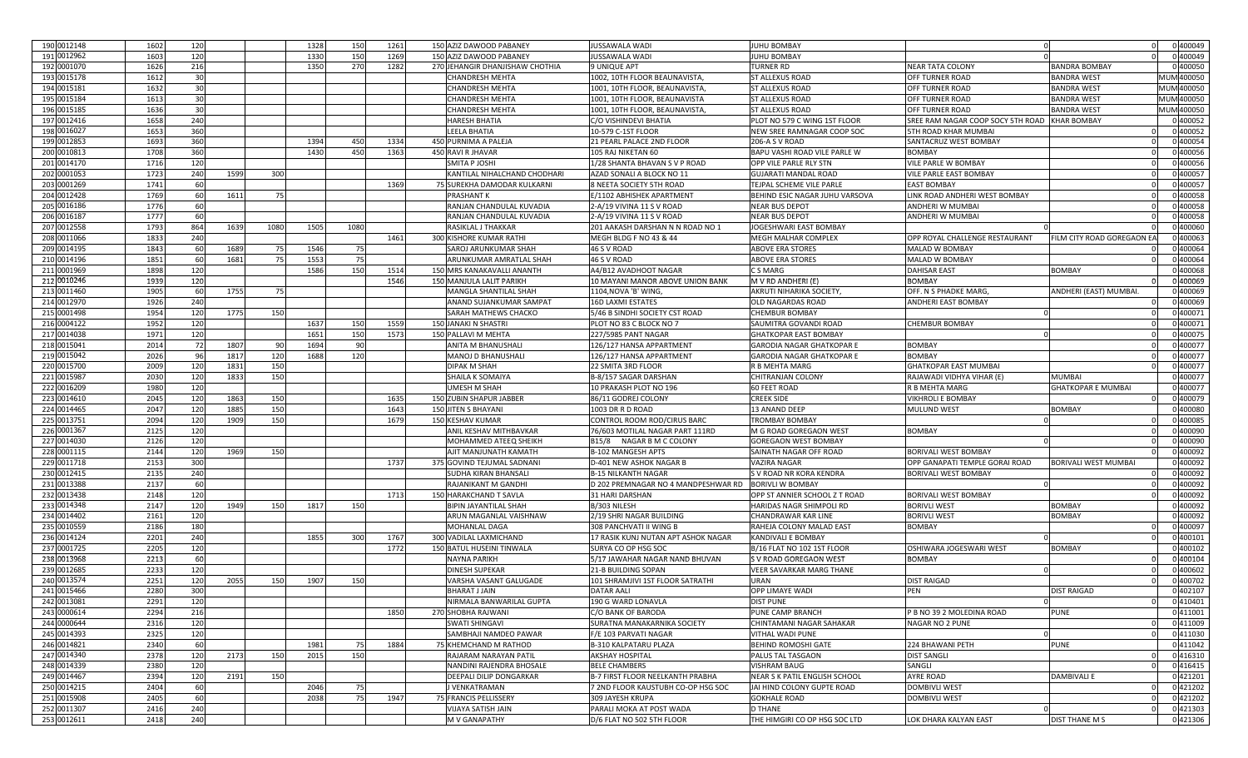| 190 0012148 | 1602 | 120             |      |      | 1328 | 150  | 1261 | 150 AZIZ DAWOOD PABANEY         | JUSSAWALA WADI                          | <b>JUHU BOMBAY</b>               |                                   |                                 | 0 400049   |
|-------------|------|-----------------|------|------|------|------|------|---------------------------------|-----------------------------------------|----------------------------------|-----------------------------------|---------------------------------|------------|
| 191 0012962 | 1603 | 120             |      |      | 1330 | 150  | 1269 | 150 AZIZ DAWOOD PABANEY         | JUSSAWALA WADI                          | <b>JUHU BOMBAY</b>               |                                   |                                 | 0 400049   |
| 192 0001070 | 1626 | 216             |      |      | 1350 | 270  | 1282 | 270 JEHANGIR DHANJISHAW CHOTHIA | <b>9 UNIQUE APT</b>                     | TURNER RD                        | <b>NEAR TATA COLONY</b>           | BANDRA BOMBAY                   | 0 400050   |
| 193 0015178 | 1612 | 30              |      |      |      |      |      | CHANDRESH MEHTA                 | 1002, 10TH FLOOR BEAUNAVISTA            | <b>ST ALLEXUS ROAD</b>           | OFF TURNER ROAD                   | <b>BANDRA WEST</b>              | MUM 400050 |
| 194 0015181 | 1632 | 30              |      |      |      |      |      | <b>CHANDRESH MEHTA</b>          | 1001, 10TH FLOOR, BEAUNAVISTA,          | <b>ST ALLEXUS ROAD</b>           | OFF TURNER ROAD                   | BANDRA WEST                     | MUM 400050 |
| 195 0015184 | 1613 | 30              |      |      |      |      |      | CHANDRESH MEHTA                 | 1001, 10TH FLOOR, BEAUNAVISTA           | ST ALLEXUS ROAD                  | OFF TURNER ROAD                   | BANDRA WEST                     | MUM 400050 |
| 196 0015185 | 1636 | 30              |      |      |      |      |      |                                 |                                         | <b>ST ALLEXUS ROAD</b>           | OFF TURNER ROAD                   | <b>BANDRA WEST</b>              | MUM 400050 |
| 197 0012416 |      |                 |      |      |      |      |      | CHANDRESH MEHTA                 | 1001, 10TH FLOOR, BEAUNAVISTA,          |                                  |                                   | <b>KHAR BOMBAY</b>              |            |
|             | 1658 | 240             |      |      |      |      |      | <b>HARESH BHATIA</b>            | C/O VISHINDEVI BHATIA                   | PLOT NO 579 C WING 1ST FLOOR     | SREE RAM NAGAR COOP SOCY 5TH ROAD |                                 | 0400052    |
| 198 0016027 | 1653 | 360             |      |      |      |      |      | LEELA BHATIA                    | 10-579 C-1ST FLOOR                      | NEW SREE RAMNAGAR COOP SOC       | <b>5TH ROAD KHAR MUMBAI</b>       |                                 | 0 400052   |
| 199 0012853 | 1693 | 360             |      |      | 1394 | 450  | 1334 | 450 PURNIMA A PALEJA            | 21 PEARL PALACE 2ND FLOOR               | 206-A S V ROAD                   | SANTACRUZ WEST BOMBAY             |                                 | 0 400054   |
| 200 0010813 | 1708 | 360             |      |      | 1430 | 450  | 1363 | 450 RAVI R JHAVAR               | 105 RAJ NIKETAN 60                      | BAPU VASHI ROAD VILE PARLE W     | <b>BOMBAY</b>                     |                                 | 0 400056   |
| 201 0014170 | 1716 | 12C             |      |      |      |      |      | SMITA P JOSHI                   | 1/28 SHANTA BHAVAN S V P ROAD           | OPP VILE PARLE RLY STN           | VILE PARLE W BOMBAY               |                                 | 0 400056   |
| 202 0001053 | 1723 | 240             | 1599 | 300  |      |      |      | KANTILAL NIHALCHAND CHODHARI    | AZAD SONALI A BLOCK NO 11               | <b>GUJARATI MANDAL ROAD</b>      | VILE PARLE EAST BOMBAY            |                                 | 0 400057   |
| 203 0001269 | 1741 | 60              |      |      |      |      | 1369 | 75 SUREKHA DAMODAR KULKARNI     | 8 NEETA SOCIETY 5TH ROAD                | TEJPAL SCHEME VILE PARLE         | <b>EAST BOMBAY</b>                |                                 | 0 400057   |
| 204 0012428 | 1769 | 60              | 1611 |      |      |      |      | PRASHANT K                      | E/1102 ABHISHEK APARTMENT               | BEHIND ESIC NAGAR JUHU VARSOVA   | LINK ROAD ANDHERI WEST BOMBAY     |                                 | 0 400058   |
| 205 0016186 | 1776 | 60              |      |      |      |      |      | RANJAN CHANDULAL KUVADIA        | 2-A/19 VIVINA 11 S V ROAD               | <b>NEAR BUS DEPOT</b>            | <b>ANDHERI W MUMBAI</b>           |                                 | 0 400058   |
| 206 0016187 | 1777 | 60              |      |      |      |      |      | RANJAN CHANDULAL KUVADIA        | 2-A/19 VIVINA 11 S V ROAD               | <b>NEAR BUS DEPOT</b>            | <b>ANDHERI W MUMBAI</b>           |                                 | 0 400058   |
| 207 0012558 | 1793 | 864             | 1639 | 1080 | 1505 | 1080 |      | RASIKLAL J THAKKAR              | 201 AAKASH DARSHAN N N ROAD NO 1        | JOGESHWARI EAST BOMBAY           |                                   |                                 | 0 400060   |
| 208 0011066 | 1833 | 240             |      |      |      |      | 1461 | 300 KISHORE KUMAR RATHI         | MEGH BLDG F NO 43 & 44                  | MEGH MALHAR COMPLEX              | OPP ROYAL CHALLENGE RESTAURANT    | <b>ILM CITY ROAD GOREGAON E</b> | 0 400063   |
| 209 0014195 | 1843 | 60              | 1689 |      | 1546 |      |      | SAROJ ARUNKUMAR SHAH            | 46 S V ROAD                             | ABOVE ERA STORES                 | MALAD W BOMBAY                    |                                 | 0 400064   |
| 210 0014196 | 1851 | 60              | 1681 |      | 1553 |      |      | ARUNKUMAR AMRATLAL SHAH         | 46 S V ROAD                             | <b>ABOVE ERA STORES</b>          | MALAD W BOMBAY                    |                                 | 0 400064   |
| 211 0001969 | 1898 | 120             |      |      | 1586 | 150  | 1514 | 150 MRS KANAKAVALLI ANANTH      | A4/B12 AVADHOOT NAGAR                   | C S MARG                         | <b>DAHISAR EAST</b>               | BOMBAY                          | 0 400068   |
| 212 0010246 | 1939 | 12C             |      |      |      |      | 1546 | 150 MANJULA LALIT PARIKH        | 10 MAYANI MANOR ABOVE UNION BANK        | M V RD ANDHERI (E)               | <b>BOMBAY</b>                     |                                 | 0 400069   |
| 213 0011460 | 1905 | 60              | 1755 |      |      |      |      | MANGLA SHANTILAL SHAH           | 1104, NOVA 'B' WING,                    | AKRUTI NIHARIKA SOCIETY          | OFF. N S PHADKE MARG,             | ANDHERI (EAST) MUMBAI.          | 0 400069   |
| 214 0012970 | 1926 | 240             |      |      |      |      |      | ANAND SUJANKUMAR SAMPAT         | <b>16D LAXMI ESTATES</b>                | OLD NAGARDAS ROAD                | ANDHERI EAST BOMBAY               |                                 | 0 400069   |
| 215 0001498 | 1954 | 120             | 1775 | 150  |      |      |      | SARAH MATHEWS CHACKO            | 5/46 B SINDHI SOCIETY CST ROAD          | <b>CHEMBUR BOMBAY</b>            |                                   |                                 | 0 400071   |
| 216 0004122 | 1952 | 12C             |      |      | 1637 | 150  | 1559 | 150 JANAKI N SHASTRI            | PLOT NO 83 C BLOCK NO 7                 | SAUMITRA GOVANDI ROAD            | <b>CHEMBUR BOMBAY</b>             |                                 | 0 400071   |
| 217 0014038 | 1971 | 12C             |      |      | 1651 | 150  | 1573 | 150 PALLAVI M MEHTA             | 227/5985 PANT NAGAR                     | GHATKOPAR EAST BOMBAY            |                                   |                                 | 0 400075   |
| 218 0015041 | 2014 | 72              |      |      | 1694 |      |      |                                 | 126/127 HANSA APPARTMEN                 | <b>GARODIA NAGAR GHATKOPAR I</b> |                                   |                                 | 0 400077   |
|             |      |                 | 1807 |      |      |      |      | ANITA M BHANUSHAL               |                                         |                                  | <b>BOMBAY</b>                     |                                 |            |
| 219 0015042 | 2026 | 96              | 1817 | 120  | 1688 | 120  |      | MANOJ D BHANUSHALI              | 126/127 HANSA APPARTMENT                | GARODIA NAGAR GHATKOPAR E        | <b>BOMBAY</b>                     |                                 | 0 400077   |
| 220 0015700 | 2009 | 12 <sub>C</sub> | 1831 | 150  |      |      |      | DIPAK M SHAH                    | 22 SMITA 3RD FLOOR                      | R B MEHTA MARG                   | <b>GHATKOPAR EAST MUMBAI</b>      |                                 | 0 400077   |
| 221 0015987 | 2030 | 120             | 1833 | 150  |      |      |      | SHAILA K SOMAIYA                | B-8/157 SAGAR DARSHAN                   | CHITRANJAN COLONY                | RAJAWADI VIDHYA VIHAR (E)         | <b>MUMBAI</b>                   | 0 400077   |
| 222 0016209 | 1980 | 12C             |      |      |      |      |      | UMESH M SHAH                    | 10 PRAKASH PLOT NO 196                  | 60 FEET ROAD                     | <b>R B MEHTA MARG</b>             | <b>GHATKOPAR E MUMBAI</b>       | 0 400077   |
| 223 0014610 | 2045 | 12(             | 1863 | 150  |      |      | 1635 | 150 ZUBIN SHAPUR JABBER         | 86/11 GODREJ COLONY                     | <b>CREEK SIDE</b>                | <b>VIKHROLI E BOMBAY</b>          |                                 | 0 400079   |
| 224 0014465 | 2047 | 12C             | 1885 | 150  |      |      | 1643 | 150 JITEN S BHAYANI             | 1003 DR R D ROAD                        | 13 ANAND DEEP                    | <b>MULUND WEST</b>                | BOMBAY                          | 0 400080   |
| 225 0013751 | 2094 | 12C             | 1909 | 150  |      |      | 1679 | 150 KESHAV KUMAR                | CONTROL ROOM ROD/CIRUS BARC             | TROMBAY BOMBAY                   |                                   |                                 | 0 400085   |
| 226 0001367 | 2125 | 12C             |      |      |      |      |      | ANIL KESHAV MITHBAVKAR          | 76/603 MOTILAL NAGAR PART 111RD         | M G ROAD GOREGAON WEST           | <b>BOMBAY</b>                     |                                 | 0 400090   |
| 227 0014030 | 2126 | 12 <sub>C</sub> |      |      |      |      |      | MOHAMMED ATEEQ SHEIKH           | B15/8 NAGAR B M C COLONY                | <b>GOREGAON WEST BOMBAY</b>      |                                   |                                 | 0 400090   |
| 228 0001115 | 2144 | 120             | 1969 | 150  |      |      |      | AJIT MANJUNATH KAMATI           | B-102 MANGESH APTS                      | SAINATH NAGAR OFF ROAD           | <b>BORIVALI WEST BOMBAY</b>       |                                 | 0 400092   |
| 229 0011718 | 2153 | 30 <sup>c</sup> |      |      |      |      | 1737 | 375 GOVIND TEJUMAL SADNANI      | D-401 NEW ASHOK NAGAR B                 | VAZIRA NAGAR                     | OPP GANAPATI TEMPLE GORAI ROAD    | BORIVALI WEST MUMBAI            | 0 400092   |
| 230 0012415 | 2135 | 240             |      |      |      |      |      | SUDHA KIRAN BHANSALI            | <b>B-15 NILKANTH NAGAR</b>              | S V ROAD NR KORA KENDRA          | BORIVALI WEST BOMBAY              |                                 | 0 400092   |
| 231 0013388 | 2137 | 60              |      |      |      |      |      | RAJANIKANT M GANDHI             | D 202 PREMNAGAR NO 4 MANDPESHWAR RD     | <b>BORIVLI W BOMBAY</b>          |                                   |                                 | 0 400092   |
| 232 0013438 | 2148 | 120             |      |      |      |      | 1713 | 150 HARAKCHAND T SAVLA          | 31 HARI DARSHAN                         | OPP ST ANNIER SCHOOL Z T ROAD    | <b>BORIVALI WEST BOMBAY</b>       |                                 | 0 400092   |
| 233 0014348 | 2147 | 120             | 1949 | 150  | 1817 | 150  |      | BIPIN JAYANTILAL SHAH           | B/303 NILESH                            | HARIDAS NAGR SHIMPOLI RD         | <b>BORIVLI WEST</b>               | BOMBAY                          | 0 400092   |
| 234 0014402 | 2161 | 12C             |      |      |      |      |      | ARUN MAGANLAL VAISHNAW          | 2/19 SHRI NAGAR BUILDING                | CHANDRAWAR KAR LINE              | <b>BORIVLI WEST</b>               | BOMBAY                          | 0 400092   |
| 235 0010559 | 2186 | 180             |      |      |      |      |      | MOHANLAL DAGA                   | 308 PANCHVATI II WING B                 | RAHEJA COLONY MALAD EAST         | <b>BOMBAY</b>                     |                                 | 0 400097   |
| 236 0014124 | 2201 | 240             |      |      | 1855 | 300  | 1767 | 300 VADILAL LAXMICHAND          | 17 RASIK KUNJ NUTAN APT ASHOK NAGAR     | <b>KANDIVALI E BOMBAY</b>        |                                   |                                 | 0 400101   |
| 237 0001725 | 2205 | 120             |      |      |      |      | 1772 | 150 BATUL HUSEINI TINWALA       | SURYA CO OP HSG SOC                     | B/16 FLAT NO 102 1ST FLOOR       | OSHIWARA JOGESWARI WEST           | BOMBAY                          | 0 400102   |
| 238 0013968 | 2213 | 60              |      |      |      |      |      | NAYNA PARIKH                    | 5/17 JAWAHAR NAGAR NAND BHUVAN          | S V ROAD GOREGAON WEST           | <b>BOMBAY</b>                     |                                 | 0 400104   |
| 239 0012685 | 2233 | 12(             |      |      |      |      |      | <b>DINESH SUPEKAR</b>           | 21-B BUILDING SOPAN                     | VEER SAVARKAR MARG THANE         |                                   |                                 | 0 400602   |
| 240 0013574 | 2251 | 120             |      | 150  | 1907 | 150  |      | VARSHA VASANT GALUGADE          | 101 SHRAMJIVI 1ST FLOOR SATRATHI        | URAN                             |                                   |                                 | 0 400702   |
| 241 0015466 |      | 30 <sub>C</sub> | 2055 |      |      |      |      |                                 |                                         |                                  | <b>DIST RAIGAD</b>                |                                 |            |
|             | 2280 |                 |      |      |      |      |      | <b>BHARAT J JAIN</b>            | <b>DATAR AALI</b>                       | OPP LIMAYE WADI                  | <b>PEN</b>                        | DIST RAIGAD                     | 0 402107   |
| 242 0013081 | 2291 | 120             |      |      |      |      |      | NIRMALA BANWARILAL GUPTA        | 190 G WARD LONAVLA                      | <b>DIST PUNE</b>                 |                                   |                                 | 0 410401   |
| 243 0000614 | 2294 | 216             |      |      |      |      | 1850 | 270 SHOBHA RAJWANI              | C/O BANK OF BARODA                      | PUNE CAMP BRANCH                 | P B NO 39 2 MOLEDINA ROAD         | <b>PUNE</b>                     | 0 411001   |
| 244 0000644 | 2316 | 120             |      |      |      |      |      | SWATI SHINGAVI                  | SURATNA MANAKARNIKA SOCIETY             | CHINTAMANI NAGAR SAHAKAR         | NAGAR NO 2 PUNE                   |                                 | 0411009    |
| 245 0014393 | 2325 | 120             |      |      |      |      |      | SAMBHAJI NAMDEO PAWAR           | F/E 103 PARVATI NAGAR                   | VITHAL WADI PUNE                 |                                   |                                 | 0411030    |
| 246 0014821 | 2340 | 60              |      |      | 1981 | 75   | 1884 | 75 KHEMCHAND M RATHOD           | <b>B-310 KALPATARU PLAZA</b>            | BEHIND ROMOSHI GATE              | 224 BHAWANI PETH                  | PUNE                            | 0 411042   |
| 247 0014340 | 2378 | 120             | 2173 | 150  | 2015 | 150  |      | RAJARAM NARAYAN PATIL           | <b>AKSHAY HOSPITAL</b>                  | PALUS TAL TASGAON                | <b>DIST SANGLI</b>                |                                 | 0416310    |
| 248 0014339 | 2380 | 12C             |      |      |      |      |      | NANDINI RAJENDRA BHOSALE        | <b>BELE CHAMBERS</b>                    | <b>VISHRAM BAUG</b>              | SANGLI                            |                                 | 0416415    |
| 249 0014467 | 2394 | 120             | 2191 | 150  |      |      |      | DEEPALI DILIP DONGARKAR         | <b>B-7 FIRST FLOOR NEELKANTH PRABHA</b> | NEAR S K PATIL ENGLISH SCHOOL    | <b>AYRE ROAD</b>                  | DAMBIVALI E                     | 0 421201   |
| 250 0014215 | 2404 | 60              |      |      | 2046 | 75   |      | J VENKATRAMAN                   | 7 2ND FLOOR KAUSTUBH CO-OP HSG SOC      | JAI HIND COLONY GUPTE ROAD       | <b>DOMBIVLI WEST</b>              |                                 | 0421202    |
| 251 0015908 | 2405 | 60              |      |      | 2038 | 75   | 1947 | 75 FRANCIS PELLISSERY           | 309 JAYESH KRUPA                        | <b>GOKHALE ROAD</b>              | <b>DOMBIVLI WEST</b>              |                                 | 0421202    |
| 252 0011307 | 2416 | 240             |      |      |      |      |      | <b>VIJAYA SATISH JAIN</b>       | PARALI MOKA AT POST WADA                | <b>D THANE</b>                   |                                   |                                 | 0421303    |
| 253 0012611 | 2418 | 240             |      |      |      |      |      | M V GANAPATHY                   | D/6 FLAT NO 502 5TH FLOOR               | THE HIMGIRI CO OP HSG SOC LTD    | LOK DHARA KALYAN EAST             | <b>DIST THANE M S</b>           | 0421306    |
|             |      |                 |      |      |      |      |      |                                 |                                         |                                  |                                   |                                 |            |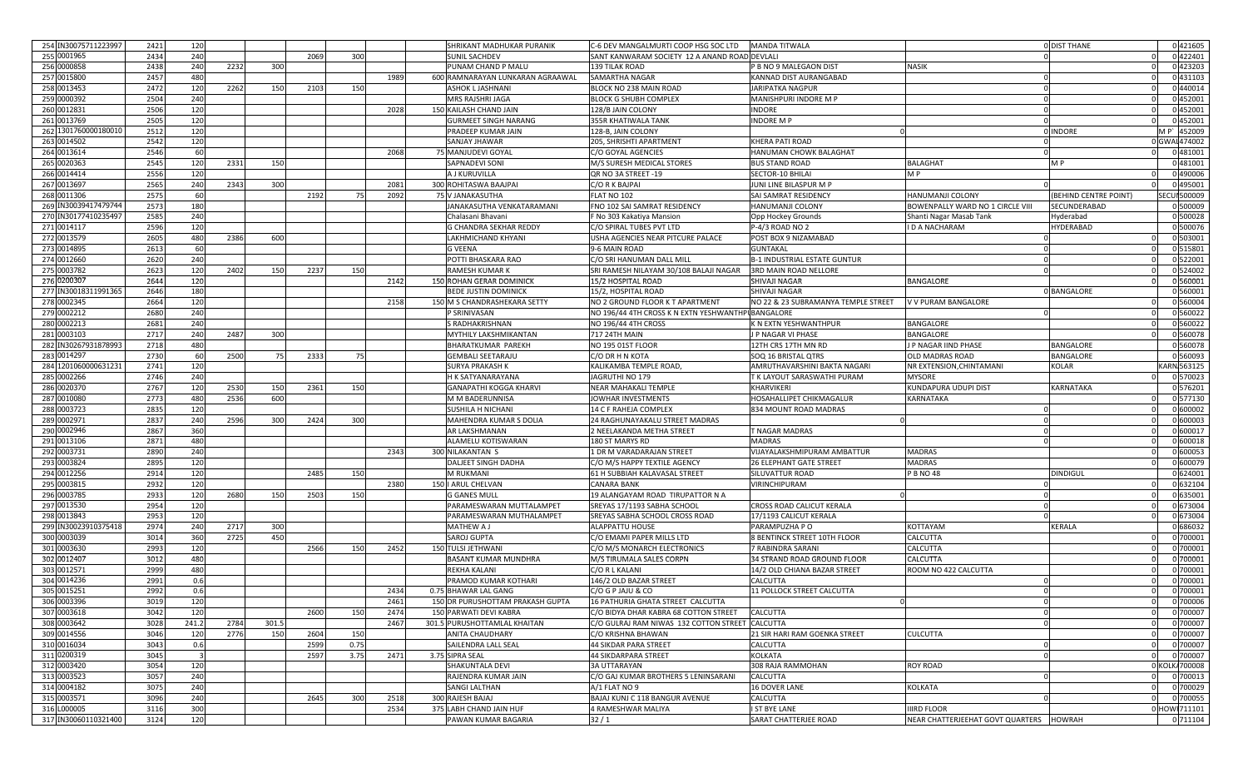| 254 IN30075711223997                | 2421         | 120        |      |                 |      |      |      | SHRIKANT MADHUKAR PURANIK                      | C-6 DEV MANGALMURTI COOP HSG SOC LTD              | <b>MANDA TITWALA</b>                   |                                         | <b>O DIST THANE</b>   | 0421605                  |
|-------------------------------------|--------------|------------|------|-----------------|------|------|------|------------------------------------------------|---------------------------------------------------|----------------------------------------|-----------------------------------------|-----------------------|--------------------------|
| 255 0001965                         | 2434         | 240        |      |                 | 2069 | 300  |      | <b>SUNIL SACHDEV</b>                           | SANT KANWARAM SOCIETY 12 A ANAND ROAD DEVLALI     |                                        |                                         |                       | 0422401                  |
| 256 0000858                         | 2438         | 240        | 2232 | 300             |      |      |      | PUNAM CHAND P MALU                             | 139 TILAK ROAD                                    | P B NO 9 MALEGAON DIST                 | NASIK                                   |                       | 0423203                  |
| 257 0015800                         | 2457         | 480        |      |                 |      |      | 1989 | 600 RAMNARAYAN LUNKARAN AGRAAWAL               | SAMARTHA NAGAR                                    | KANNAD DIST AURANGABAD                 |                                         |                       | 0 431103                 |
| 258 0013453                         | 2472         | 120        | 2262 | <b>150</b>      | 2103 | 150  |      | <b>ASHOK L JASHNANI</b>                        | BLOCK NO 238 MAIN ROAD                            | JARIPATKA NAGPUR                       |                                         |                       | 0 440014                 |
| 259 0000392                         | 2504         | 240        |      |                 |      |      |      | MRS RAJSHRI JAGA                               | <b>BLOCK G SHUBH COMPLEX</b>                      | MANISHPURI INDORE M P                  |                                         |                       | 0452001                  |
| 260 0012831                         | 2506         | 120        |      |                 |      |      | 2028 | 150 KAILASH CHAND JAIN                         | 128/B JAIN COLONY                                 | INDORE                                 |                                         |                       | 0 452001                 |
| 261 0013769                         | 2505         | 120        |      |                 |      |      |      | <b>GURMEET SINGH NARANG</b>                    | 355R KHATIWALA TANK                               | <b>INDORE M P</b>                      |                                         |                       | 0 452001                 |
| 262 1301760000180010                | 2512         | 120        |      |                 |      |      |      | PRADEEP KUMAR JAIN                             | 128-B, JAIN COLONY                                |                                        |                                         | 0 INDORE              | M P 452009               |
| 263 0014502                         | 2542         | 120        |      |                 |      |      |      | SANJAY JHAWAR                                  | 205, SHRISHTI APARTMENT                           | KHERA PATI ROAD                        |                                         |                       | GWAI 474002              |
| 264 0013614                         | 2546         | 60         |      |                 |      |      | 2068 | 75 MANJUDEVI GOYAI                             | C/O GOYAL AGENCIES                                | HANUMAN CHOWK BALAGHAT                 |                                         |                       | 0 481001                 |
| 265 0020363                         | 2545         | 120        | 2331 | 150             |      |      |      | SAPNADEVI SON                                  | M/S SURESH MEDICAL STORES                         | <b>BUS STAND ROAD</b>                  | BALAGHAT                                | M P                   | 0 481001                 |
|                                     |              |            |      |                 |      |      |      |                                                |                                                   |                                        |                                         |                       | 0 490006                 |
| 266 0014414                         | 2556         | 120        |      |                 |      |      |      | A J KURUVILLA                                  | QR NO 3A STREET -19                               | SECTOR-10 BHILAI                       | M P                                     |                       | 0 49500                  |
| 267 0013697                         | 2565         | 240        | 2343 | 30 <sup>c</sup> |      |      | 2081 | 300 ROHITASWA BAAJPAI                          | C/O R K BAJPAI                                    | JUNI LINE BILASPUR M P                 |                                         |                       |                          |
| 268 0011306                         | 2575         | 60         |      |                 | 2192 |      | 2092 | <b>75 V JANAKASUTHA</b>                        | FLAT NO 102                                       | SAI SAMRAT RESIDENCY                   | HANUMANJI COLONY                        | (BEHIND CENTRE POINT) | <b>SECUI 500009</b>      |
| 269 IN30039417479744                | 2573         | 180        |      |                 |      |      |      | JANAKASUTHA VENKATARAMANI                      | FNO 102 SAI SAMRAT RESIDENCY                      | HANUMANJI COLONY                       | BOWENPALLY WARD NO 1 CIRCLE VIII        | SECUNDERABAD          | 0 500009                 |
| 270 IN30177410235497                | 2585         | 240        |      |                 |      |      |      | Chalasani Bhavani                              | F No 303 Kakatiya Mansion                         | Opp Hockey Grounds                     | Shanti Nagar Masab Tank                 | Hyderabad             | 0 500028                 |
| 271 0014117                         | 2596         | 120        |      |                 |      |      |      | G CHANDRA SEKHAR REDDY                         | C/O SPIRAL TUBES PVT LTD                          | P-4/3 ROAD NO 2                        | D A NACHARAM                            | HYDERABAD             | 0 500076                 |
| 272 0013579                         | 2605         | 480        | 2386 | 60C             |      |      |      | LAKHMICHAND KHYANI                             | USHA AGENCIES NEAR PITCURE PALACE                 | POST BOX 9 NIZAMABAD                   |                                         |                       | 0 503001                 |
| 273 0014895                         | 2613         | 60         |      |                 |      |      |      | G VEENA                                        | 9-6 MAIN ROAD                                     | <b>GUNTAKAL</b>                        |                                         |                       | 0 515801                 |
| 274 0012660                         | 2620         | 240        |      |                 |      |      |      | POTTI BHASKARA RAO                             | C/O SRI HANUMAN DALL MILI                         | <b>B-1 INDUSTRIAL ESTATE GUNTUR</b>    |                                         |                       | 0 522001                 |
| 275 0003782                         | 262          | 120        | 2402 | 150             | 2237 | 150  |      | RAMESH KUMAR K                                 | SRI RAMESH NILAYAM 30/108 BALAJI NAGAR            | 3RD MAIN ROAD NELLORE                  |                                         |                       | 0 524002                 |
| 276 0200307                         | 2644         | 120        |      |                 |      |      | 2142 | 150 ROHAN GERAR DOMINICK                       | 15/2 HOSPITAL ROAD                                | SHIVAJI NAGAR                          | BANGALORE                               |                       | 0 560001                 |
| 277 IN30018311991365                | 2646         | 180        |      |                 |      |      |      | <b>BEDE JUSTIN DOMINICK</b>                    | 15/2, HOSPITAL ROAD                               | SHIVAJI NAGAR                          |                                         | 0 BANGALORE           | 0 560001                 |
| 278 0002345                         | 2664         | 120        |      |                 |      |      | 2158 | 150 M S CHANDRASHEKARA SETTY                   | NO 2 GROUND FLOOR K T APARTMENT                   | NO 22 & 23 SUBRAMANYA TEMPLE STREET    | V V PURAM BANGALORE                     |                       | 0 560004                 |
| 279 0002212                         | 2680         | 240        |      |                 |      |      |      | P SRINIVASAN                                   | NO 196/44 4TH CROSS K N EXTN YESHWANTHPUBANGALORE |                                        |                                         |                       | 0 560022                 |
| 280 0002213                         | 2681         | 240        |      |                 |      |      |      | S RADHAKRISHNAN                                | NO 196/44 4TH CROSS                               | K N EXTN YESHWANTHPUR                  | BANGALORE                               |                       | 0 560022                 |
| 281 0003103                         | 2717         | 240        | 2487 | 300             |      |      |      | <b>MYTHILY LAKSHMIKANTAN</b>                   | 717 24TH MAIN                                     | J P NAGAR VI PHASE                     | BANGALORE                               |                       | 0 560078                 |
| 282 IN30267931878993                | 2718         | 480        |      |                 |      |      |      | <b>BHARATKUMAR PAREKH</b>                      | NO 195 01ST FLOOR                                 | 12TH CRS 17TH MN RD                    | J P NAGAR IIND PHASE                    | BANGALORE             | 0 560078                 |
| 283 0014297                         | 2730         | 60         | 2500 | -75             | 2333 | -75  |      | <b>GEMBALI SEETARAJU</b>                       | C/O DR H N KOTA                                   | SOQ 16 BRISTAL QTRS                    | OLD MADRAS ROAD                         | BANGALORE             | 0 560093                 |
| 284 1201060000631231                | 2741         | 120        |      |                 |      |      |      | <b>SURYA PRAKASH K</b>                         | KALIKAMBA TEMPLE ROAD                             | AMRUTHAVARSHINI BAKTA NAGARI           | NR EXTENSION, CHINTAMANI                | KOLAR                 | KARN 563125              |
| 285 0002266                         | 2746         | 240        |      |                 |      |      |      | <b>H K SATYANARAYANA</b>                       | JAGRUTHI NO 179                                   | T K LAYOUT SARASWATHI PURAM            | MYSORE                                  |                       | 0 570023                 |
| 286 0020370                         | 2767         | 120        | 2530 | 150             | 2361 | 150  |      | <b>GANAPATHI KOGGA KHARVI</b>                  | NEAR MAHAKALI TEMPLE                              | KHARVIKERI                             | KUNDAPURA UDUPI DIST                    | KARNATAKA             | 0 576201                 |
| 287 0010080                         | 2773         | 480        | 2536 | 600             |      |      |      | M M BADERUNNISA                                | JOWHAR INVESTMENTS                                | HOSAHALLIPET CHIKMAGALUR               | KARNATAKA                               |                       | 0 577130                 |
| 288 0003723                         | 2835         | 120        |      |                 |      |      |      | SUSHILA H NICHANI                              | 14 C F RAHEJA COMPLEX                             | 834 MOUNT ROAD MADRAS                  |                                         |                       | 0 600002                 |
| 289 0002971                         | 2837         | 240        | 2596 | 30C             | 2424 | 300  |      | MAHENDRA KUMAR S DOLIA                         | 24 RAGHUNAYAKALU STREET MADRAS                    |                                        |                                         |                       | 0 600003                 |
| 290 0002946                         | 2867         | 360        |      |                 |      |      |      | AR LAKSHMANAN                                  | 2 NEELAKANDA METHA STREET                         | T NAGAR MADRAS                         |                                         |                       | 0 600017                 |
| 291 0013106                         | 2871         | 480        |      |                 |      |      |      | ALAMELU KOTISWARAN                             | 180 ST MARYS RD                                   | <b>MADRAS</b>                          |                                         |                       | 0 600018                 |
| 292 0003731                         | 289          | 240        |      |                 |      |      | 2343 | 300 NILAKANTAN S                               | 1 DR M VARADARAJAN STREET                         | VIJAYALAKSHMIPURAM AMBATTUR            | <b>MADRAS</b>                           |                       | 0 600053                 |
| 293 0003824                         | 2895         | 120        |      |                 |      |      |      | DALJEET SINGH DADHA                            | C/O M/S HAPPY TEXTILE AGENCY                      | <b>26 ELEPHANT GATE STREET</b>         | <b>MADRAS</b>                           |                       | 0 600079                 |
| 294 0012256                         | 2914         | 120        |      |                 | 2485 | 150  |      | <b>M RUKMANI</b>                               | 61 H SUBBIAH KALAVASAL STREET                     | SILUVATTUR ROAD                        |                                         | DINDIGUL              | 0 624001                 |
| 295 0003815                         |              |            |      |                 |      |      | 2380 |                                                |                                                   |                                        | P B NO 48                               |                       | 0 632104                 |
|                                     | 2932         | 120        |      |                 |      |      |      | 150   ARUL CHELVAN                             | <b>CANARA BANK</b>                                | VIRINCHIPURAM                          |                                         |                       |                          |
| 296 0003785                         | 2933         | 120        | 2680 | 150             | 2503 | 150  |      | <b>G GANES MULL</b>                            | 19 ALANGAYAM ROAD TIRUPATTOR N A                  |                                        |                                         |                       | 0 635001                 |
| 297 0013530                         | 2954         | 120        |      |                 |      |      |      | PARAMESWARAN MUTTALAMPET                       | SREYAS 17/1193 SABHA SCHOOL                       | CROSS ROAD CALICUT KERALA              |                                         |                       | 0 673004                 |
| 298 0013843                         | 2953         | 120        |      |                 |      |      |      | PARAMESWARAN MUTHALAMPET                       | SREYAS SABHA SCHOOL CROSS ROAD                    | 17/1193 CALICUT KERALA                 |                                         |                       | 0 673004                 |
| 299 IN30023910375418                | 2974         | 240        | 2717 | 300             |      |      |      | MATHEW A J                                     | <b>ALAPPATTU HOUSE</b>                            | PARAMPUZHA P O                         | KOTTAYAM                                | KERALA                | 0 686032                 |
| 300 0003039                         | 3014         | 360        | 2725 | 45C             |      |      |      | <b>SAROJ GUPTA</b>                             | C/O EMAMI PAPER MILLS LTD                         | 8 BENTINCK STREET 10TH FLOOR           | CALCUTTA                                |                       | 0 700001                 |
| 301 0003630                         | 2993         | 120        |      |                 | 2566 | 150  | 2452 | 150 TULSI JETHWANI                             | C/O M/S MONARCH ELECTRONICS                       | 7 RABINDRA SARANI                      | CALCUTTA                                |                       | 0 700001                 |
| 302 0012407                         | 3012         | 480        |      |                 |      |      |      | BASANT KUMAR MUNDHRA                           | M/S TIRUMALA SALES CORPN                          | 34 STRAND ROAD GROUND FLOOR            | CALCUTTA                                |                       | 0 700001                 |
| 303 0012571                         | 2999         | 480        |      |                 |      |      |      | REKHA KALANI                                   | C/O R L KALANI                                    | 14/2 OLD CHIANA BAZAR STREET           | ROOM NO 422 CALCUTTA                    |                       | 0 700001                 |
| 304 0014236                         | 2991         | 0.6        |      |                 |      |      |      | PRAMOD KUMAR KOTHARI                           | 146/2 OLD BAZAR STREET                            | CALCUTTA                               |                                         |                       | 0 700001                 |
| 305 0015251                         | 2992         | 0.6        |      |                 |      |      | 2434 | 0.75 BHAWAR LAL GANG                           | C/O G P JAJU & CO                                 | 11 POLLOCK STREET CALCUTTA             |                                         |                       | 0 700001                 |
| 306 0003396                         | 3019         | 120        |      |                 |      |      | 2461 | 150 DR PURUSHOTTAM PRAKASH GUPTA               | 16 PATHURIA GHATA STREET CALCUTTA                 |                                        |                                         |                       | 0 700006                 |
| 307 0003618                         | 3042         | 120        |      |                 | 2600 | 150  | 2474 | 150 PARWATI DEVI KABRA                         | C/O BIDYA DHAR KABRA 68 COTTON STREET             | CALCUTTA                               |                                         |                       | 0 700007                 |
| 308 0003642                         | 3028         | 241.2      | 2784 | 301.5           |      |      | 2467 | 301.5 PURUSHOTTAMLAL KHAITAN                   | C/O GULRAJ RAM NIWAS 132 COTTON STREET            | CALCUTTA                               |                                         |                       | 0 700007                 |
| 309 0014556                         | 3046         | 120        | 2776 | <b>150</b>      | 2604 | 150  |      | <b>ANITA CHAUDHARY</b>                         | C/O KRISHNA BHAWAN                                | 21 SIR HARI RAM GOENKA STREET          | <b>CULCUTTA</b>                         |                       | 0 700007                 |
| 310 0016034                         | 3043         | 0.6        |      |                 | 2599 | 0.75 |      | SAILENDRA LALL SEAL                            | <b>44 SIKDAR PARA STREET</b>                      | CALCUTTA                               |                                         |                       | 0 700007                 |
| 311 0200319                         | 3045         |            |      |                 | 2597 | 3.75 | 2471 | 3.75 SIPRA SEAL                                | <b>44 SIKDARPARA STREET</b>                       | <b>KOLKATA</b>                         |                                         | C                     | 0 700007                 |
| 312 0003420                         | 3054         | 120        |      |                 |      |      |      | SHAKUNTALA DEVI                                | <b>3A UTTARAYAN</b>                               | 308 RAJA RAMMOHAN                      | ROY ROAD                                |                       | KOLK/700008              |
| 313 0003523                         |              |            |      |                 |      |      |      | RAJENDRA KUMAR JAIN                            | C/O GAJ KUMAR BROTHERS 5 LENINSARANI              | CALCUTTA                               |                                         |                       | 0 700013                 |
|                                     | 3057         | 240        |      |                 |      |      |      |                                                |                                                   |                                        |                                         |                       |                          |
| 314 0004182                         | 3075         | 240        |      |                 |      |      |      | <b>SANGI LALTHAN</b>                           | A/1 FLAT NO 9                                     | 16 DOVER LANE                          | KOLKATA                                 |                       | 0 700029                 |
| 315 0003571                         | 3096         | 240        |      |                 | 2645 | 300  | 2518 | 300 RAJESH BAJAJ                               | BAJAJ KUNJ C 118 BANGUR AVENUE                    | CALCUTTA                               |                                         |                       | 0 700055                 |
|                                     |              |            |      |                 |      |      |      |                                                |                                                   |                                        | <b>IIRD FLOOR</b>                       |                       |                          |
| 316 L000005<br>317 IN30060110321400 | 3116<br>3124 | 300<br>120 |      |                 |      |      | 2534 | 375 LABH CHAND JAIN HUF<br>PAWAN KUMAR BAGARIA | 4 RAMESHWAR MALIYA<br>32/1                        | I ST BYE LANE<br>SARAT CHATTERJEE ROAD | NEAR CHATTERJEEHAT GOVT QUARTERS HOWRAH |                       | 0 HOW 711101<br>0 711104 |